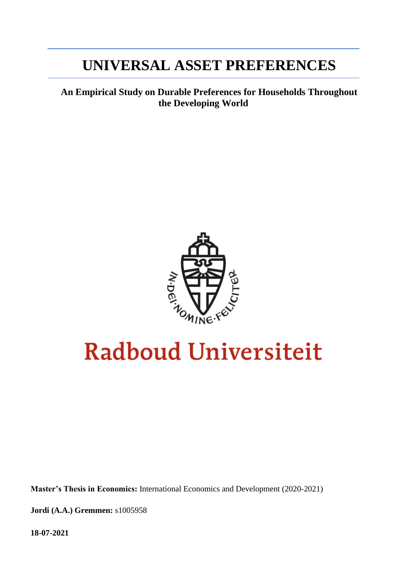# **UNIVERSAL ASSET PREFERENCES**

**An Empirical Study on Durable Preferences for Households Throughout the Developing World**



# **Radboud Universiteit**

**Master's Thesis in Economics:** International Economics and Development (2020-2021)

**Jordi (A.A.) Gremmen:** s1005958

**18-07-2021**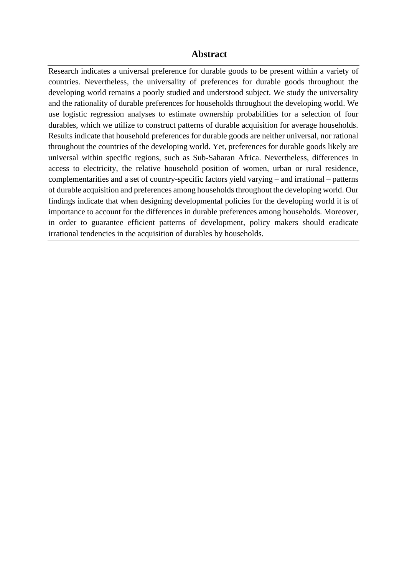### **Abstract**

Research indicates a universal preference for durable goods to be present within a variety of countries. Nevertheless, the universality of preferences for durable goods throughout the developing world remains a poorly studied and understood subject. We study the universality and the rationality of durable preferences for households throughout the developing world. We use logistic regression analyses to estimate ownership probabilities for a selection of four durables, which we utilize to construct patterns of durable acquisition for average households. Results indicate that household preferences for durable goods are neither universal, nor rational throughout the countries of the developing world. Yet, preferences for durable goods likely are universal within specific regions, such as Sub-Saharan Africa. Nevertheless, differences in access to electricity, the relative household position of women, urban or rural residence, complementarities and a set of country-specific factors yield varying – and irrational – patterns of durable acquisition and preferences among households throughout the developing world. Our findings indicate that when designing developmental policies for the developing world it is of importance to account for the differences in durable preferences among households. Moreover, in order to guarantee efficient patterns of development, policy makers should eradicate irrational tendencies in the acquisition of durables by households.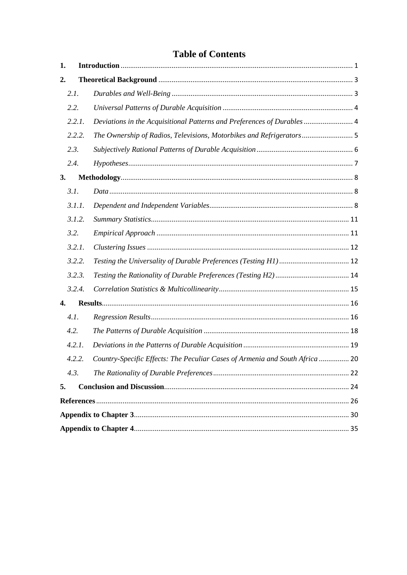# **Table of Contents**

| 1. |        |                                                                              |  |
|----|--------|------------------------------------------------------------------------------|--|
| 2. |        |                                                                              |  |
|    | 2.1.   |                                                                              |  |
|    | 2.2.   |                                                                              |  |
|    | 2.2.1. | Deviations in the Acquisitional Patterns and Preferences of Durables  4      |  |
|    | 2.2.2. | The Ownership of Radios, Televisions, Motorbikes and Refrigerators 5         |  |
|    | 2.3.   |                                                                              |  |
|    | 2.4.   |                                                                              |  |
| 3. |        |                                                                              |  |
|    | 3.1.   |                                                                              |  |
|    | 3.1.1. |                                                                              |  |
|    | 3.1.2. |                                                                              |  |
|    | 3.2.   |                                                                              |  |
|    | 3.2.1. |                                                                              |  |
|    | 3.2.2. |                                                                              |  |
|    | 3.2.3. |                                                                              |  |
|    | 3.2.4. |                                                                              |  |
| 4. |        |                                                                              |  |
|    | 4.1.   |                                                                              |  |
|    | 4.2.   |                                                                              |  |
|    | 4.2.1. |                                                                              |  |
|    | 4.2.2. | Country-Specific Effects: The Peculiar Cases of Armenia and South Africa  20 |  |
|    | 4.3.   |                                                                              |  |
| 5. |        |                                                                              |  |
|    |        |                                                                              |  |
|    |        |                                                                              |  |
|    |        |                                                                              |  |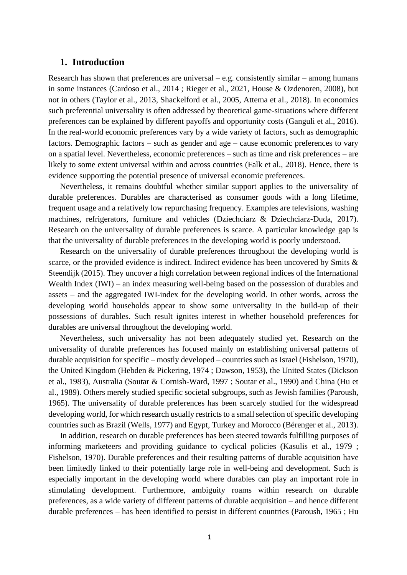#### <span id="page-4-0"></span>**1. Introduction**

Research has shown that preferences are universal – e.g. consistently similar – among humans in some instances (Cardoso et al., 2014 ; Rieger et al., 2021, House & Ozdenoren, 2008), but not in others (Taylor et al., 2013, Shackelford et al., 2005, Attema et al., 2018). In economics such preferential universality is often addressed by theoretical game-situations where different preferences can be explained by different payoffs and opportunity costs (Ganguli et al., 2016). In the real-world economic preferences vary by a wide variety of factors, such as demographic factors. Demographic factors – such as gender and age – cause economic preferences to vary on a spatial level. Nevertheless, economic preferences – such as time and risk preferences – are likely to some extent universal within and across countries (Falk et al., 2018). Hence, there is evidence supporting the potential presence of universal economic preferences.

Nevertheless, it remains doubtful whether similar support applies to the universality of durable preferences. Durables are characterised as consumer goods with a long lifetime, frequent usage and a relatively low repurchasing frequency. Examples are televisions, washing machines, refrigerators, furniture and vehicles (Dziechciarz & Dziechciarz-Duda, 2017). Research on the universality of durable preferences is scarce. A particular knowledge gap is that the universality of durable preferences in the developing world is poorly understood.

Research on the universality of durable preferences throughout the developing world is scarce, or the provided evidence is indirect. Indirect evidence has been uncovered by Smits & Steendijk (2015). They uncover a high correlation between regional indices of the International Wealth Index (IWI) – an index measuring well-being based on the possession of durables and assets – and the aggregated IWI-index for the developing world. In other words, across the developing world households appear to show some universality in the build-up of their possessions of durables. Such result ignites interest in whether household preferences for durables are universal throughout the developing world.

Nevertheless, such universality has not been adequately studied yet. Research on the universality of durable preferences has focused mainly on establishing universal patterns of durable acquisition for specific – mostly developed – countries such as Israel (Fishelson, 1970), the United Kingdom (Hebden & Pickering, 1974 ; Dawson, 1953), the United States (Dickson et al., 1983), Australia (Soutar & Cornish-Ward, 1997 ; Soutar et al., 1990) and China (Hu et al., 1989). Others merely studied specific societal subgroups, such as Jewish families (Paroush, 1965). The universality of durable preferences has been scarcely studied for the widespread developing world, for which research usually restricts to a small selection of specific developing countries such as Brazil (Wells, 1977) and Egypt, Turkey and Morocco (Bérenger et al., 2013).

In addition, research on durable preferences has been steered towards fulfilling purposes of informing marketeers and providing guidance to cyclical policies (Kasulis et al., 1979 ; Fishelson, 1970). Durable preferences and their resulting patterns of durable acquisition have been limitedly linked to their potentially large role in well-being and development. Such is especially important in the developing world where durables can play an important role in stimulating development. Furthermore, ambiguity roams within research on durable preferences, as a wide variety of different patterns of durable acquisition – and hence different durable preferences – has been identified to persist in different countries (Paroush, 1965 ; Hu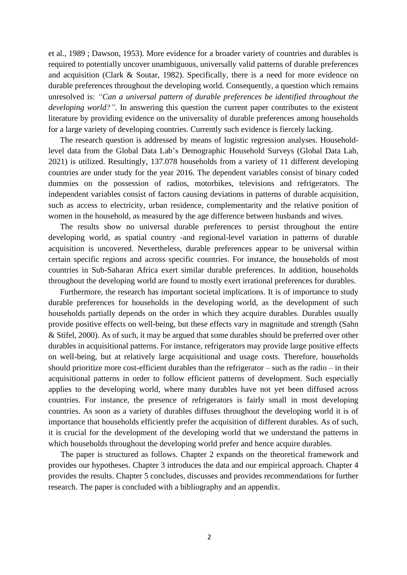et al., 1989 ; Dawson, 1953). More evidence for a broader variety of countries and durables is required to potentially uncover unambiguous, universally valid patterns of durable preferences and acquisition (Clark & Soutar, 1982). Specifically, there is a need for more evidence on durable preferences throughout the developing world. Consequently, a question which remains unresolved is: *"Can a universal pattern of durable preferences be identified throughout the developing world?"*. In answering this question the current paper contributes to the existent literature by providing evidence on the universality of durable preferences among households for a large variety of developing countries. Currently such evidence is fiercely lacking.

The research question is addressed by means of logistic regression analyses. Householdlevel data from the Global Data Lab's Demographic Household Surveys (Global Data Lab, 2021) is utilized. Resultingly, 137.078 households from a variety of 11 different developing countries are under study for the year 2016. The dependent variables consist of binary coded dummies on the possession of radios, motorbikes, televisions and refrigerators. The independent variables consist of factors causing deviations in patterns of durable acquisition, such as access to electricity, urban residence, complementarity and the relative position of women in the household, as measured by the age difference between husbands and wives.

The results show no universal durable preferences to persist throughout the entire developing world, as spatial country -and regional-level variation in patterns of durable acquisition is uncovered. Nevertheless, durable preferences appear to be universal within certain specific regions and across specific countries. For instance, the households of most countries in Sub-Saharan Africa exert similar durable preferences. In addition, households throughout the developing world are found to mostly exert irrational preferences for durables.

Furthermore, the research has important societal implications. It is of importance to study durable preferences for households in the developing world, as the development of such households partially depends on the order in which they acquire durables. Durables usually provide positive effects on well-being, but these effects vary in magnitude and strength (Sahn & Stifel, 2000). As of such, it may be argued that some durables should be preferred over other durables in acquisitional patterns. For instance, refrigerators may provide large positive effects on well-being, but at relatively large acquisitional and usage costs. Therefore, households should prioritize more cost-efficient durables than the refrigerator – such as the radio – in their acquisitional patterns in order to follow efficient patterns of development. Such especially applies to the developing world, where many durables have not yet been diffused across countries. For instance, the presence of refrigerators is fairly small in most developing countries. As soon as a variety of durables diffuses throughout the developing world it is of importance that households efficiently prefer the acquisition of different durables. As of such, it is crucial for the development of the developing world that we understand the patterns in which households throughout the developing world prefer and hence acquire durables.

The paper is structured as follows. Chapter 2 expands on the theoretical framework and provides our hypotheses. Chapter 3 introduces the data and our empirical approach. Chapter 4 provides the results. Chapter 5 concludes, discusses and provides recommendations for further research. The paper is concluded with a bibliography and an appendix.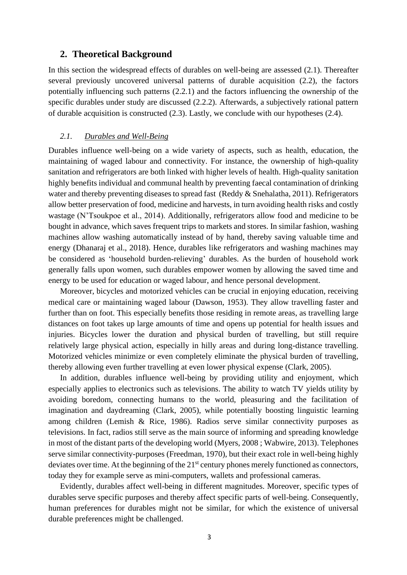#### <span id="page-6-0"></span>**2. Theoretical Background**

In this section the widespread effects of durables on well-being are assessed (2.1). Thereafter several previously uncovered universal patterns of durable acquisition (2.2), the factors potentially influencing such patterns (2.2.1) and the factors influencing the ownership of the specific durables under study are discussed (2.2.2). Afterwards, a subjectively rational pattern of durable acquisition is constructed (2.3). Lastly, we conclude with our hypotheses (2.4).

#### <span id="page-6-1"></span>*2.1. Durables and Well-Being*

Durables influence well-being on a wide variety of aspects, such as health, education, the maintaining of waged labour and connectivity. For instance, the ownership of high-quality sanitation and refrigerators are both linked with higher levels of health. High-quality sanitation highly benefits individual and communal health by preventing faecal contamination of drinking water and thereby preventing diseases to spread fast (Reddy & Snehalatha, 2011). Refrigerators allow better preservation of food, medicine and harvests, in turn avoiding health risks and costly wastage (N'Tsoukpoe et al., 2014). Additionally, refrigerators allow food and medicine to be bought in advance, which saves frequent trips to markets and stores. In similar fashion, washing machines allow washing automatically instead of by hand, thereby saving valuable time and energy (Dhanaraj et al., 2018). Hence, durables like refrigerators and washing machines may be considered as 'household burden-relieving' durables. As the burden of household work generally falls upon women, such durables empower women by allowing the saved time and energy to be used for education or waged labour, and hence personal development.

Moreover, bicycles and motorized vehicles can be crucial in enjoying education, receiving medical care or maintaining waged labour (Dawson, 1953). They allow travelling faster and further than on foot. This especially benefits those residing in remote areas, as travelling large distances on foot takes up large amounts of time and opens up potential for health issues and injuries. Bicycles lower the duration and physical burden of travelling, but still require relatively large physical action, especially in hilly areas and during long-distance travelling. Motorized vehicles minimize or even completely eliminate the physical burden of travelling, thereby allowing even further travelling at even lower physical expense (Clark, 2005).

In addition, durables influence well-being by providing utility and enjoyment, which especially applies to electronics such as televisions. The ability to watch TV yields utility by avoiding boredom, connecting humans to the world, pleasuring and the facilitation of imagination and daydreaming (Clark, 2005), while potentially boosting linguistic learning among children (Lemish & Rice, 1986). Radios serve similar connectivity purposes as televisions. In fact, radios still serve as the main source of informing and spreading knowledge in most of the distant parts of the developing world (Myers, 2008 ; Wabwire, 2013). Telephones serve similar connectivity-purposes (Freedman, 1970), but their exact role in well-being highly deviates over time. At the beginning of the  $21<sup>st</sup>$  century phones merely functioned as connectors, today they for example serve as mini-computers, wallets and professional cameras.

Evidently, durables affect well-being in different magnitudes. Moreover, specific types of durables serve specific purposes and thereby affect specific parts of well-being. Consequently, human preferences for durables might not be similar, for which the existence of universal durable preferences might be challenged.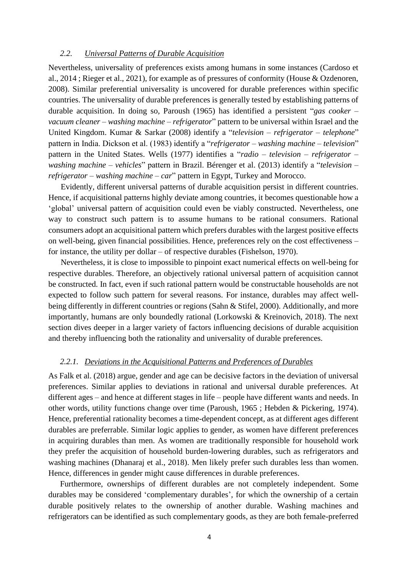#### <span id="page-7-0"></span>*2.2. Universal Patterns of Durable Acquisition*

Nevertheless, universality of preferences exists among humans in some instances (Cardoso et al., 2014 ; Rieger et al., 2021), for example as of pressures of conformity (House & Ozdenoren, 2008). Similar preferential universality is uncovered for durable preferences within specific countries. The universality of durable preferences is generally tested by establishing patterns of durable acquisition. In doing so, Paroush (1965) has identified a persistent "*gas cooker – vacuum cleaner – washing machine – refrigerator*" pattern to be universal within Israel and the United Kingdom. Kumar & Sarkar (2008) identify a "*television – refrigerator – telephone*" pattern in India. Dickson et al. (1983) identify a "*refrigerator – washing machine – television*" pattern in the United States. Wells (1977) identifies a "*radio – television – refrigerator – washing machine – vehicles*" pattern in Brazil. Bérenger et al. (2013) identify a "*television – refrigerator – washing machine – car*" pattern in Egypt, Turkey and Morocco.

Evidently, different universal patterns of durable acquisition persist in different countries. Hence, if acquisitional patterns highly deviate among countries, it becomes questionable how a 'global' universal pattern of acquisition could even be viably constructed. Nevertheless, one way to construct such pattern is to assume humans to be rational consumers. Rational consumers adopt an acquisitional pattern which prefers durables with the largest positive effects on well-being, given financial possibilities. Hence, preferences rely on the cost effectiveness – for instance, the utility per dollar – of respective durables (Fishelson, 1970).

Nevertheless, it is close to impossible to pinpoint exact numerical effects on well-being for respective durables. Therefore, an objectively rational universal pattern of acquisition cannot be constructed. In fact, even if such rational pattern would be constructable households are not expected to follow such pattern for several reasons. For instance, durables may affect wellbeing differently in different countries or regions (Sahn & Stifel, 2000). Additionally, and more importantly, humans are only boundedly rational (Lorkowski & Kreinovich, 2018). The next section dives deeper in a larger variety of factors influencing decisions of durable acquisition and thereby influencing both the rationality and universality of durable preferences.

#### <span id="page-7-1"></span>*2.2.1. Deviations in the Acquisitional Patterns and Preferences of Durables*

As Falk et al. (2018) argue, gender and age can be decisive factors in the deviation of universal preferences. Similar applies to deviations in rational and universal durable preferences. At different ages – and hence at different stages in life – people have different wants and needs. In other words, utility functions change over time (Paroush, 1965 ; Hebden & Pickering, 1974). Hence, preferential rationality becomes a time-dependent concept, as at different ages different durables are preferrable. Similar logic applies to gender, as women have different preferences in acquiring durables than men. As women are traditionally responsible for household work they prefer the acquisition of household burden-lowering durables, such as refrigerators and washing machines (Dhanaraj et al., 2018). Men likely prefer such durables less than women. Hence, differences in gender might cause differences in durable preferences.

Furthermore, ownerships of different durables are not completely independent. Some durables may be considered 'complementary durables', for which the ownership of a certain durable positively relates to the ownership of another durable. Washing machines and refrigerators can be identified as such complementary goods, as they are both female-preferred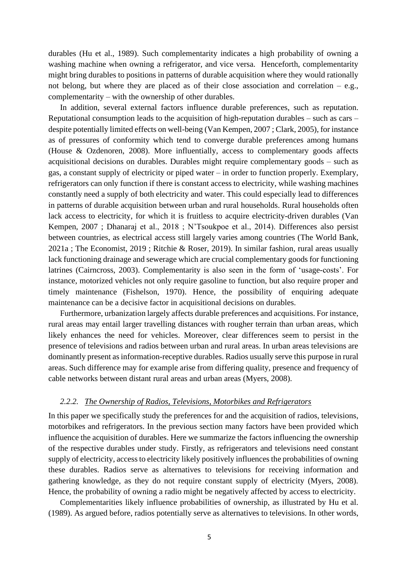durables (Hu et al., 1989). Such complementarity indicates a high probability of owning a washing machine when owning a refrigerator, and vice versa. Henceforth, complementarity might bring durables to positions in patterns of durable acquisition where they would rationally not belong, but where they are placed as of their close association and correlation – e.g., complementarity – with the ownership of other durables.

In addition, several external factors influence durable preferences, such as reputation. Reputational consumption leads to the acquisition of high-reputation durables – such as cars – despite potentially limited effects on well-being (Van Kempen, 2007 ; Clark, 2005), for instance as of pressures of conformity which tend to converge durable preferences among humans (House & Ozdenoren, 2008). More influentially, access to complementary goods affects acquisitional decisions on durables. Durables might require complementary goods – such as gas, a constant supply of electricity or piped water – in order to function properly. Exemplary, refrigerators can only function if there is constant access to electricity, while washing machines constantly need a supply of both electricity and water. This could especially lead to differences in patterns of durable acquisition between urban and rural households. Rural households often lack access to electricity, for which it is fruitless to acquire electricity-driven durables (Van Kempen, 2007 ; Dhanaraj et al., 2018 ; N'Tsoukpoe et al., 2014). Differences also persist between countries, as electrical access still largely varies among countries (The World Bank, 2021a ; The Economist, 2019 ; Ritchie & Roser, 2019). In similar fashion, rural areas usually lack functioning drainage and sewerage which are crucial complementary goods for functioning latrines (Cairncross, 2003). Complementarity is also seen in the form of 'usage-costs'. For instance, motorized vehicles not only require gasoline to function, but also require proper and timely maintenance (Fishelson, 1970). Hence, the possibility of enquiring adequate maintenance can be a decisive factor in acquisitional decisions on durables.

Furthermore, urbanization largely affects durable preferences and acquisitions. For instance, rural areas may entail larger travelling distances with rougher terrain than urban areas, which likely enhances the need for vehicles. Moreover, clear differences seem to persist in the presence of televisions and radios between urban and rural areas. In urban areas televisions are dominantly present as information-receptive durables. Radios usually serve this purpose in rural areas. Such difference may for example arise from differing quality, presence and frequency of cable networks between distant rural areas and urban areas (Myers, 2008).

#### <span id="page-8-0"></span>*2.2.2. The Ownership of Radios, Televisions, Motorbikes and Refrigerators*

In this paper we specifically study the preferences for and the acquisition of radios, televisions, motorbikes and refrigerators. In the previous section many factors have been provided which influence the acquisition of durables. Here we summarize the factors influencing the ownership of the respective durables under study. Firstly, as refrigerators and televisions need constant supply of electricity, access to electricity likely positively influences the probabilities of owning these durables. Radios serve as alternatives to televisions for receiving information and gathering knowledge, as they do not require constant supply of electricity (Myers, 2008). Hence, the probability of owning a radio might be negatively affected by access to electricity.

Complementarities likely influence probabilities of ownership, as illustrated by Hu et al. (1989). As argued before, radios potentially serve as alternatives to televisions. In other words,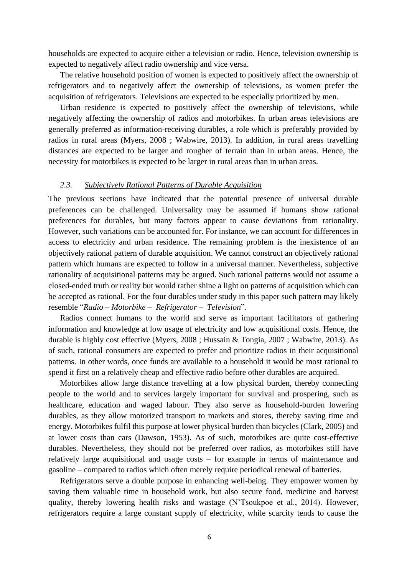households are expected to acquire either a television or radio. Hence, television ownership is expected to negatively affect radio ownership and vice versa.

The relative household position of women is expected to positively affect the ownership of refrigerators and to negatively affect the ownership of televisions, as women prefer the acquisition of refrigerators. Televisions are expected to be especially prioritized by men.

Urban residence is expected to positively affect the ownership of televisions, while negatively affecting the ownership of radios and motorbikes. In urban areas televisions are generally preferred as information-receiving durables, a role which is preferably provided by radios in rural areas (Myers, 2008 ; Wabwire, 2013). In addition, in rural areas travelling distances are expected to be larger and rougher of terrain than in urban areas. Hence, the necessity for motorbikes is expected to be larger in rural areas than in urban areas.

#### <span id="page-9-0"></span>*2.3. Subjectively Rational Patterns of Durable Acquisition*

The previous sections have indicated that the potential presence of universal durable preferences can be challenged. Universality may be assumed if humans show rational preferences for durables, but many factors appear to cause deviations from rationality. However, such variations can be accounted for. For instance, we can account for differences in access to electricity and urban residence. The remaining problem is the inexistence of an objectively rational pattern of durable acquisition. We cannot construct an objectively rational pattern which humans are expected to follow in a universal manner. Nevertheless, subjective rationality of acquisitional patterns may be argued. Such rational patterns would not assume a closed-ended truth or reality but would rather shine a light on patterns of acquisition which can be accepted as rational. For the four durables under study in this paper such pattern may likely resemble "*Radio – Motorbike – Refrigerator – Television*"*.*

Radios connect humans to the world and serve as important facilitators of gathering information and knowledge at low usage of electricity and low acquisitional costs. Hence, the durable is highly cost effective (Myers, 2008 ; Hussain & Tongia, 2007 ; Wabwire, 2013). As of such, rational consumers are expected to prefer and prioritize radios in their acquisitional patterns. In other words, once funds are available to a household it would be most rational to spend it first on a relatively cheap and effective radio before other durables are acquired.

Motorbikes allow large distance travelling at a low physical burden, thereby connecting people to the world and to services largely important for survival and prospering, such as healthcare, education and waged labour. They also serve as household-burden lowering durables, as they allow motorized transport to markets and stores, thereby saving time and energy. Motorbikes fulfil this purpose at lower physical burden than bicycles (Clark, 2005) and at lower costs than cars (Dawson, 1953). As of such, motorbikes are quite cost-effective durables. Nevertheless, they should not be preferred over radios, as motorbikes still have relatively large acquisitional and usage costs – for example in terms of maintenance and gasoline – compared to radios which often merely require periodical renewal of batteries.

Refrigerators serve a double purpose in enhancing well-being. They empower women by saving them valuable time in household work, but also secure food, medicine and harvest quality, thereby lowering health risks and wastage (N'Tsoukpoe et al., 2014). However, refrigerators require a large constant supply of electricity, while scarcity tends to cause the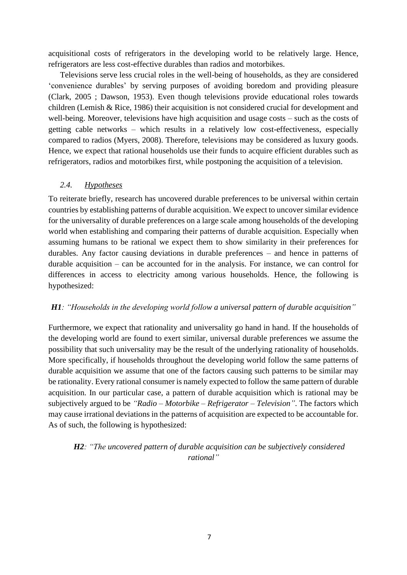acquisitional costs of refrigerators in the developing world to be relatively large. Hence, refrigerators are less cost-effective durables than radios and motorbikes.

Televisions serve less crucial roles in the well-being of households, as they are considered 'convenience durables' by serving purposes of avoiding boredom and providing pleasure (Clark, 2005 ; Dawson, 1953). Even though televisions provide educational roles towards children (Lemish & Rice, 1986) their acquisition is not considered crucial for development and well-being. Moreover, televisions have high acquisition and usage costs – such as the costs of getting cable networks – which results in a relatively low cost-effectiveness, especially compared to radios (Myers, 2008). Therefore, televisions may be considered as luxury goods. Hence, we expect that rational households use their funds to acquire efficient durables such as refrigerators, radios and motorbikes first, while postponing the acquisition of a television.

#### <span id="page-10-0"></span>*2.4. Hypotheses*

To reiterate briefly, research has uncovered durable preferences to be universal within certain countries by establishing patterns of durable acquisition. We expect to uncover similar evidence for the universality of durable preferences on a large scale among households of the developing world when establishing and comparing their patterns of durable acquisition. Especially when assuming humans to be rational we expect them to show similarity in their preferences for durables. Any factor causing deviations in durable preferences – and hence in patterns of durable acquisition – can be accounted for in the analysis. For instance, we can control for differences in access to electricity among various households. Hence, the following is hypothesized:

#### *H1: "Households in the developing world follow a universal pattern of durable acquisition"*

Furthermore, we expect that rationality and universality go hand in hand. If the households of the developing world are found to exert similar, universal durable preferences we assume the possibility that such universality may be the result of the underlying rationality of households. More specifically, if households throughout the developing world follow the same patterns of durable acquisition we assume that one of the factors causing such patterns to be similar may be rationality. Every rational consumer is namely expected to follow the same pattern of durable acquisition. In our particular case, a pattern of durable acquisition which is rational may be subjectively argued to be *"Radio – Motorbike – Refrigerator – Television"*. The factors which may cause irrational deviations in the patterns of acquisition are expected to be accountable for. As of such, the following is hypothesized:

# *H2: "The uncovered pattern of durable acquisition can be subjectively considered rational"*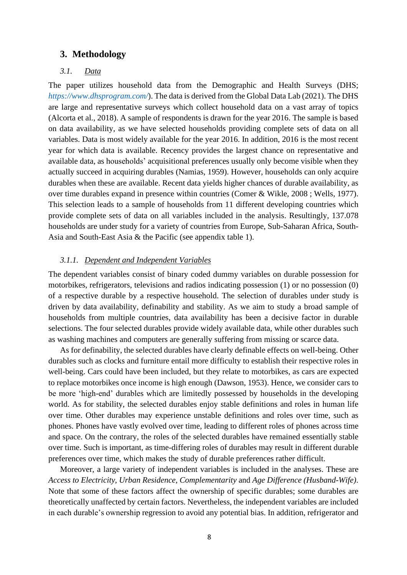#### <span id="page-11-0"></span>**3. Methodology**

#### <span id="page-11-1"></span>*3.1. Data*

The paper utilizes household data from the Demographic and Health Surveys (DHS; *<https://www.dhsprogram.com/>*). The data is derived from the Global Data Lab (2021). The DHS are large and representative surveys which collect household data on a vast array of topics (Alcorta et al., 2018). A sample of respondents is drawn for the year 2016. The sample is based on data availability, as we have selected households providing complete sets of data on all variables. Data is most widely available for the year 2016. In addition, 2016 is the most recent year for which data is available. Recency provides the largest chance on representative and available data, as households' acquisitional preferences usually only become visible when they actually succeed in acquiring durables (Namias, 1959). However, households can only acquire durables when these are available. Recent data yields higher chances of durable availability, as over time durables expand in presence within countries (Comer & Wikle, 2008 ; Wells, 1977). This selection leads to a sample of households from 11 different developing countries which provide complete sets of data on all variables included in the analysis. Resultingly, 137.078 households are under study for a variety of countries from Europe, Sub-Saharan Africa, South-Asia and South-East Asia & the Pacific (see appendix table 1).

#### <span id="page-11-2"></span>*3.1.1. Dependent and Independent Variables*

The dependent variables consist of binary coded dummy variables on durable possession for motorbikes, refrigerators, televisions and radios indicating possession (1) or no possession (0) of a respective durable by a respective household. The selection of durables under study is driven by data availability, definability and stability. As we aim to study a broad sample of households from multiple countries, data availability has been a decisive factor in durable selections. The four selected durables provide widely available data, while other durables such as washing machines and computers are generally suffering from missing or scarce data.

As for definability, the selected durables have clearly definable effects on well-being. Other durables such as clocks and furniture entail more difficulty to establish their respective roles in well-being. Cars could have been included, but they relate to motorbikes, as cars are expected to replace motorbikes once income is high enough (Dawson, 1953). Hence, we consider cars to be more 'high-end' durables which are limitedly possessed by households in the developing world. As for stability, the selected durables enjoy stable definitions and roles in human life over time. Other durables may experience unstable definitions and roles over time, such as phones. Phones have vastly evolved over time, leading to different roles of phones across time and space. On the contrary, the roles of the selected durables have remained essentially stable over time. Such is important, as time-differing roles of durables may result in different durable preferences over time, which makes the study of durable preferences rather difficult.

Moreover, a large variety of independent variables is included in the analyses. These are *Access to Electricity*, *Urban Residence*, *Complementarity* and *Age Difference (Husband-Wife)*. Note that some of these factors affect the ownership of specific durables; some durables are theoretically unaffected by certain factors. Nevertheless, the independent variables are included in each durable's ownership regression to avoid any potential bias. In addition, refrigerator and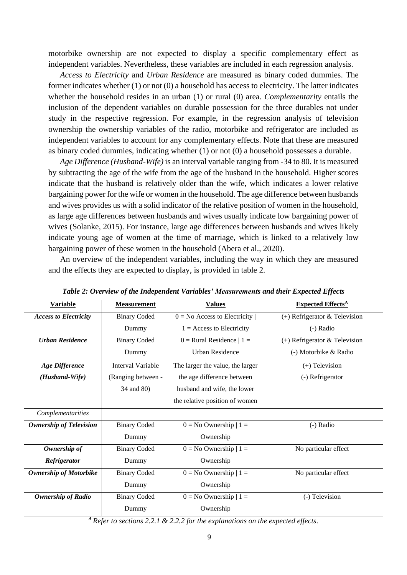motorbike ownership are not expected to display a specific complementary effect as independent variables. Nevertheless, these variables are included in each regression analysis.

*Access to Electricity* and *Urban Residence* are measured as binary coded dummies. The former indicates whether (1) or not (0) a household has access to electricity. The latter indicates whether the household resides in an urban (1) or rural (0) area. *Complementarity* entails the inclusion of the dependent variables on durable possession for the three durables not under study in the respective regression. For example, in the regression analysis of television ownership the ownership variables of the radio, motorbike and refrigerator are included as independent variables to account for any complementary effects. Note that these are measured as binary coded dummies, indicating whether (1) or not (0) a household possesses a durable.

*Age Difference (Husband-Wife)* is an interval variable ranging from -34 to 80. It is measured by subtracting the age of the wife from the age of the husband in the household. Higher scores indicate that the husband is relatively older than the wife, which indicates a lower relative bargaining power for the wife or women in the household. The age difference between husbands and wives provides us with a solid indicator of the relative position of women in the household, as large age differences between husbands and wives usually indicate low bargaining power of wives (Solanke, 2015). For instance, large age differences between husbands and wives likely indicate young age of women at the time of marriage, which is linked to a relatively low bargaining power of these women in the household (Abera et al., 2020).

An overview of the independent variables, including the way in which they are measured and the effects they are expected to display, is provided in table 2.

| <b>Variable</b>                                                                | <b>Measurement</b>       | <b>Values</b>                    | <b>Expected Effects</b> <sup>A</sup> |  |  |  |  |
|--------------------------------------------------------------------------------|--------------------------|----------------------------------|--------------------------------------|--|--|--|--|
| <b>Access to Electricity</b>                                                   | <b>Binary Coded</b>      | $0 = No$ Access to Electricity   | $(+)$ Refrigerator & Television      |  |  |  |  |
|                                                                                | Dummy                    | $1 = Access$ to Electricity      | $(-)$ Radio                          |  |  |  |  |
| <b>Urban Residence</b>                                                         | <b>Binary Coded</b>      | $0$ = Rural Residence $ 1$ =     | $(+)$ Refrigerator & Television      |  |  |  |  |
|                                                                                | Dummy                    | <b>Urban Residence</b>           | (-) Motorbike & Radio                |  |  |  |  |
| <b>Age Difference</b>                                                          | <b>Interval Variable</b> | The larger the value, the larger | $(+)$ Television                     |  |  |  |  |
| (Husband-Wife)                                                                 | (Ranging between -       | the age difference between       | (-) Refrigerator                     |  |  |  |  |
|                                                                                | 34 and 80)               | husband and wife, the lower      |                                      |  |  |  |  |
|                                                                                |                          | the relative position of women   |                                      |  |  |  |  |
| Complementarities                                                              |                          |                                  |                                      |  |  |  |  |
| <b>Ownership of Television</b>                                                 | <b>Binary Coded</b>      | $0 = No$ Ownership $ 1 =$        | (-) Radio                            |  |  |  |  |
|                                                                                | Dummy                    | Ownership                        |                                      |  |  |  |  |
| Ownership of                                                                   | <b>Binary Coded</b>      | $0 = No$ Ownership $ 1 =$        | No particular effect                 |  |  |  |  |
| Refrigerator                                                                   | Dummy                    | Ownership                        |                                      |  |  |  |  |
| <b>Ownership of Motorbike</b>                                                  | <b>Binary Coded</b>      | $0 = No$ Ownership $ 1 =$        | No particular effect                 |  |  |  |  |
|                                                                                | Dummy                    | Ownership                        |                                      |  |  |  |  |
| <b>Ownership of Radio</b>                                                      | <b>Binary Coded</b>      | $0 = No$ Ownership $ 1 =$        | (-) Television                       |  |  |  |  |
|                                                                                | Dummy                    | Ownership                        |                                      |  |  |  |  |
| A Refer to sections 2.2.1 & 2.2.2 for the evalenctions on the expected effects |                          |                                  |                                      |  |  |  |  |

*Table 2: Overview of the Independent Variables' Measurements and their Expected Effects* 

*<sup>A</sup> Refer to sections 2.2.1 & 2.2.2 for the explanations on the expected effects.*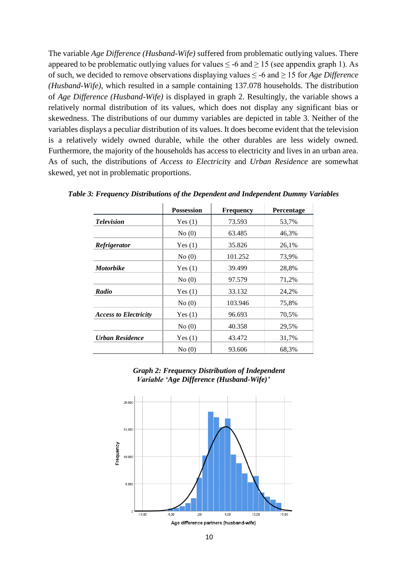The variable *Age Difference (Husband-Wife)* suffered from problematic outlying values. There appeared to be problematic outlying values for values  $\leq$  -6 and  $\geq$  15 (see appendix graph 1). As of such, we decided to remove observations displaying values ≤ -6 and ≥ 15 for *Age Difference (Husband-Wife)*, which resulted in a sample containing 137.078 households. The distribution of *Age Difference (Husband-Wife)* is displayed in graph 2. Resultingly, the variable shows a relatively normal distribution of its values, which does not display any significant bias or skewedness. The distributions of our dummy variables are depicted in table 3. Neither of the variables displays a peculiar distribution of its values. It does become evident that the television is a relatively widely owned durable, while the other durables are less widely owned. Furthermore, the majority of the households has access to electricity and lives in an urban area. As of such, the distributions of *Access to Electricit*y and *Urban Residence* are somewhat skewed, yet not in problematic proportions.

|                              | <b>Possession</b> | <b>Frequency</b> | <b>Percentage</b> |
|------------------------------|-------------------|------------------|-------------------|
| <b>Television</b>            | Yes(1)            | 73.593           | 53,7%             |
|                              | No(0)             | 63.485           | 46,3%             |
| Refrigerator                 | Yes(1)            | 35.826           | 26,1%             |
|                              | No(0)             | 101.252          | 73,9%             |
| <b>Motorbike</b>             | Yes(1)            | 39.499           | 28,8%             |
|                              | No(0)             | 97.579           | 71,2%             |
| Radio                        | Yes(1)            | 33.132           | 24,2%             |
|                              | No(0)             | 103.946          | 75,8%             |
| <b>Access to Electricity</b> | Yes(1)            | 96.693           | 70,5%             |
|                              | No(0)             | 40.358           | 29,5%             |
| Urban Residence              | Yes(1)            | 43.472           | 31,7%             |
|                              | No(0)             | 93.606           | 68,3%             |

*Table 3: Frequency Distributions of the Dependent and Independent Dummy Variables*



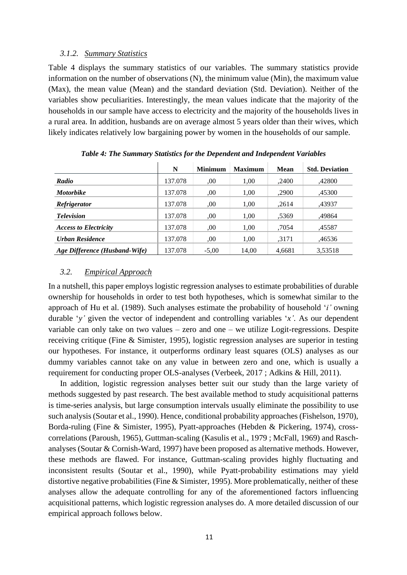#### <span id="page-14-0"></span>*3.1.2. Summary Statistics*

Table 4 displays the summary statistics of our variables. The summary statistics provide information on the number of observations (N), the minimum value (Min), the maximum value (Max), the mean value (Mean) and the standard deviation (Std. Deviation). Neither of the variables show peculiarities. Interestingly, the mean values indicate that the majority of the households in our sample have access to electricity and the majority of the households lives in a rural area. In addition, husbands are on average almost 5 years older than their wives, which likely indicates relatively low bargaining power by women in the households of our sample.

|                               | N       | <b>Minimum</b> | <b>Maximum</b> | <b>Mean</b> | <b>Std. Deviation</b> |
|-------------------------------|---------|----------------|----------------|-------------|-----------------------|
| Radio                         | 137.078 | .00.           | 1.00           | ,2400       | ,42800                |
| <b>Motorbike</b>              | 137.078 | .00            | 1.00           | ,2900       | .45300                |
| <i>Refrigerator</i>           | 137.078 | .00.           | 1.00           | ,2614       | ,43937                |
| <b>Television</b>             | 137.078 | .00            | 1.00           | .5369       | .49864                |
| <b>Access to Electricity</b>  | 137.078 | .00            | 1,00           | .7054       | ,45587                |
| <b>Urban Residence</b>        | 137.078 | .00.           | 1.00           | ,3171       | ,46536                |
| Age Difference (Husband-Wife) | 137.078 | $-5,00$        | 14,00          | 4,6681      | 3,53518               |

*Table 4: The Summary Statistics for the Dependent and Independent Variables*

#### <span id="page-14-1"></span>*3.2. Empirical Approach*

In a nutshell, this paper employs logistic regression analyses to estimate probabilities of durable ownership for households in order to test both hypotheses, which is somewhat similar to the approach of Hu et al. (1989). Such analyses estimate the probability of household '*i'* owning durable '*y'* given the vector of independent and controlling variables '*x'*. As our dependent variable can only take on two values – zero and one – we utilize Logit-regressions. Despite receiving critique (Fine & Simister, 1995), logistic regression analyses are superior in testing our hypotheses. For instance, it outperforms ordinary least squares (OLS) analyses as our dummy variables cannot take on any value in between zero and one, which is usually a requirement for conducting proper OLS-analyses (Verbeek, 2017 ; Adkins & Hill, 2011).

In addition, logistic regression analyses better suit our study than the large variety of methods suggested by past research. The best available method to study acquisitional patterns is time-series analysis, but large consumption intervals usually eliminate the possibility to use such analysis (Soutar et al., 1990). Hence, conditional probability approaches (Fishelson, 1970), Borda-ruling (Fine & Simister, 1995), Pyatt-approaches (Hebden & Pickering, 1974), crosscorrelations (Paroush, 1965), Guttman-scaling (Kasulis et al., 1979 ; McFall, 1969) and Raschanalyses (Soutar & Cornish-Ward, 1997) have been proposed as alternative methods. However, these methods are flawed. For instance, Guttman-scaling provides highly fluctuating and inconsistent results (Soutar et al., 1990), while Pyatt-probability estimations may yield distortive negative probabilities (Fine & Simister, 1995). More problematically, neither of these analyses allow the adequate controlling for any of the aforementioned factors influencing acquisitional patterns, which logistic regression analyses do. A more detailed discussion of our empirical approach follows below.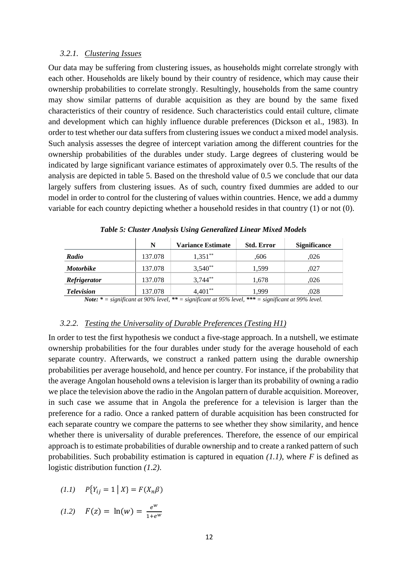#### <span id="page-15-0"></span>*3.2.1. Clustering Issues*

Our data may be suffering from clustering issues, as households might correlate strongly with each other. Households are likely bound by their country of residence, which may cause their ownership probabilities to correlate strongly. Resultingly, households from the same country may show similar patterns of durable acquisition as they are bound by the same fixed characteristics of their country of residence. Such characteristics could entail culture, climate and development which can highly influence durable preferences (Dickson et al., 1983). In order to test whether our data suffers from clustering issues we conduct a mixed model analysis. Such analysis assesses the degree of intercept variation among the different countries for the ownership probabilities of the durables under study. Large degrees of clustering would be indicated by large significant variance estimates of approximately over 0.5. The results of the analysis are depicted in table 5. Based on the threshold value of 0.5 we conclude that our data largely suffers from clustering issues. As of such, country fixed dummies are added to our model in order to control for the clustering of values within countries. Hence, we add a dummy variable for each country depicting whether a household resides in that country (1) or not (0).

|                   | N       | <b>Variance Estimate</b> | <b>Std. Error</b> | <b>Significance</b> |
|-------------------|---------|--------------------------|-------------------|---------------------|
| Radio             | 137.078 | $1.351**$                | .606              | .026                |
| <b>Motorbike</b>  | 137.078 | $3,540^{**}$             | 1,599             | ,027                |
| Refrigerator      | 137.078 | $3,744***$               | 1.678             | .026                |
| <b>Television</b> | 137.078 | $4,401**$                | 1.999             | .028                |

*Table 5: Cluster Analysis Using Generalized Linear Mixed Models* 

*Note: \* = significant at 90% level, \*\* = significant at 95% level, \*\*\* = significant at 99% level.*

#### <span id="page-15-1"></span>*3.2.2. Testing the Universality of Durable Preferences (Testing H1)*

In order to test the first hypothesis we conduct a five-stage approach. In a nutshell, we estimate ownership probabilities for the four durables under study for the average household of each separate country. Afterwards, we construct a ranked pattern using the durable ownership probabilities per average household, and hence per country. For instance, if the probability that the average Angolan household owns a television is larger than its probability of owning a radio we place the television above the radio in the Angolan pattern of durable acquisition. Moreover, in such case we assume that in Angola the preference for a television is larger than the preference for a radio. Once a ranked pattern of durable acquisition has been constructed for each separate country we compare the patterns to see whether they show similarity, and hence whether there is universality of durable preferences. Therefore, the essence of our empirical approach is to estimate probabilities of durable ownership and to create a ranked pattern of such probabilities. Such probability estimation is captured in equation *(1.1)*, where *F* is defined as logistic distribution function *(1.2)*.

$$
(1.1) \t P{Y_{ij} = 1 | X} = F(X_n \beta)
$$

$$
(1.2) \quad F(z) = \ln(w) = \frac{e^w}{1 + e^w}
$$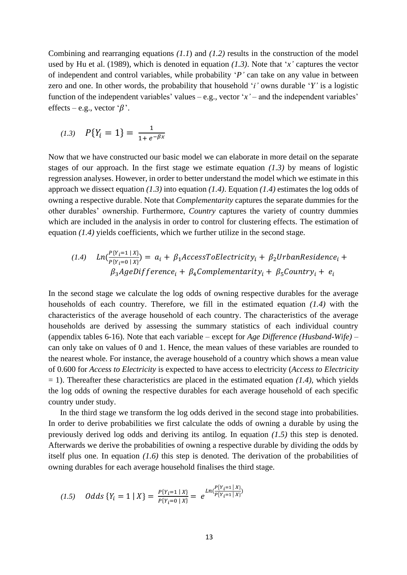Combining and rearranging equations *(1.1*) and *(1.2)* results in the construction of the model used by Hu et al. (1989), which is denoted in equation *(1.3)*. Note that '*x'* captures the vector of independent and control variables, while probability '*P'* can take on any value in between zero and one. In other words, the probability that household '*i'* owns durable '*Y'* is a logistic function of the independent variables' values – e.g., vector  $x'$  – and the independent variables' effects – e.g., vector ' $\beta$ '.

$$
(1.3) \quad P\{Y_i = 1\} = \frac{1}{1 + e^{-\beta x}}
$$

Now that we have constructed our basic model we can elaborate in more detail on the separate stages of our approach. In the first stage we estimate equation *(1.3)* by means of logistic regression analyses. However, in order to better understand the model which we estimate in this approach we dissect equation *(1.3)* into equation *(1.4)*. Equation *(1.4)* estimates the log odds of owning a respective durable. Note that *Complementarity* captures the separate dummies for the other durables' ownership. Furthermore, *Country* captures the variety of country dummies which are included in the analysis in order to control for clustering effects. The estimation of equation *(1.4)* yields coefficients, which we further utilize in the second stage.

$$
(1.4) \quad Ln(\frac{P\{Y_i=1 \mid X\}}{P\{Y_i=0 \mid X\}}) = a_i + \beta_1 AccessToElectricity_i + \beta_2 UrbanResidence_i + \beta_3 AgeDiffference_i + \beta_4 Complementarity_i + \beta_5 Country_i + e_i
$$

In the second stage we calculate the log odds of owning respective durables for the average households of each country. Therefore, we fill in the estimated equation *(1.4)* with the characteristics of the average household of each country. The characteristics of the average households are derived by assessing the summary statistics of each individual country (appendix tables 6-16). Note that each variable – except for *Age Difference (Husband-Wife)* – can only take on values of 0 and 1. Hence, the mean values of these variables are rounded to the nearest whole. For instance, the average household of a country which shows a mean value of 0.600 for *Access to Electricity* is expected to have access to electricity (*Access to Electricity* = 1). Thereafter these characteristics are placed in the estimated equation *(1.4),* which yields the log odds of owning the respective durables for each average household of each specific country under study.

In the third stage we transform the log odds derived in the second stage into probabilities. In order to derive probabilities we first calculate the odds of owning a durable by using the previously derived log odds and deriving its antilog. In equation *(1.5)* this step is denoted. Afterwards we derive the probabilities of owning a respective durable by dividing the odds by itself plus one. In equation *(1.6)* this step is denoted. The derivation of the probabilities of owning durables for each average household finalises the third stage.

$$
(1.5) \quad Odds\left\{Y_i = 1 \mid X\right\} = \frac{P\{Y_i = 1 \mid X\}}{P\{Y_i = 0 \mid X\}} = e^{Ln\left(\frac{P\{Y_i = 1 \mid X\}}{P\{Y_i = 1 \mid X\}}\right)}
$$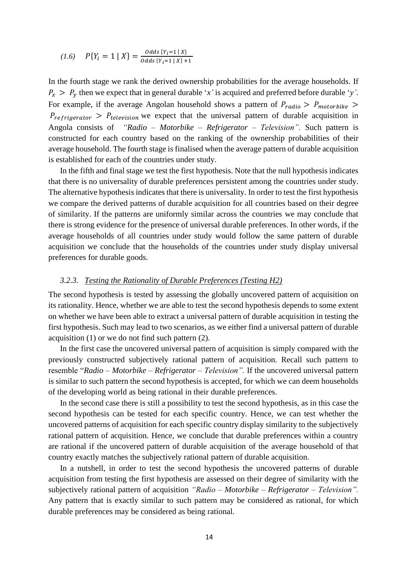$$
(1.6) \quad P\{Y_i = 1 \mid X\} = \frac{0 \, ds \, \{Y_i = 1 \mid X\}}{0 \, ds \, \{Y_i = 1 \mid X\} + 1}
$$

In the fourth stage we rank the derived ownership probabilities for the average households. If  $P_x > P_y$  then we expect that in general durable '*x*' is acquired and preferred before durable '*y*'. For example, if the average Angolan household shows a pattern of  $P_{radio} > P_{motorbike} >$  $P_{refriderator} > P_{television}$  we expect that the universal pattern of durable acquisition in Angola consists of *"Radio – Motorbike – Refrigerator – Television".* Such pattern is constructed for each country based on the ranking of the ownership probabilities of their average household. The fourth stage is finalised when the average pattern of durable acquisition is established for each of the countries under study.

In the fifth and final stage we test the first hypothesis. Note that the null hypothesis indicates that there is no universality of durable preferences persistent among the countries under study. The alternative hypothesis indicates that there is universality. In order to test the first hypothesis we compare the derived patterns of durable acquisition for all countries based on their degree of similarity. If the patterns are uniformly similar across the countries we may conclude that there is strong evidence for the presence of universal durable preferences. In other words, if the average households of all countries under study would follow the same pattern of durable acquisition we conclude that the households of the countries under study display universal preferences for durable goods.

#### <span id="page-17-0"></span>*3.2.3. Testing the Rationality of Durable Preferences (Testing H2)*

The second hypothesis is tested by assessing the globally uncovered pattern of acquisition on its rationality. Hence, whether we are able to test the second hypothesis depends to some extent on whether we have been able to extract a universal pattern of durable acquisition in testing the first hypothesis. Such may lead to two scenarios, as we either find a universal pattern of durable acquisition (1) or we do not find such pattern (2).

In the first case the uncovered universal pattern of acquisition is simply compared with the previously constructed subjectively rational pattern of acquisition. Recall such pattern to resemble "*Radio – Motorbike – Refrigerator – Television".* If the uncovered universal pattern is similar to such pattern the second hypothesis is accepted, for which we can deem households of the developing world as being rational in their durable preferences.

In the second case there is still a possibility to test the second hypothesis, as in this case the second hypothesis can be tested for each specific country. Hence, we can test whether the uncovered patterns of acquisition for each specific country display similarity to the subjectively rational pattern of acquisition. Hence, we conclude that durable preferences within a country are rational if the uncovered pattern of durable acquisition of the average household of that country exactly matches the subjectively rational pattern of durable acquisition.

In a nutshell, in order to test the second hypothesis the uncovered patterns of durable acquisition from testing the first hypothesis are assessed on their degree of similarity with the subjectively rational pattern of acquisition *"Radio – Motorbike – Refrigerator – Television".*  Any pattern that is exactly similar to such pattern may be considered as rational, for which durable preferences may be considered as being rational.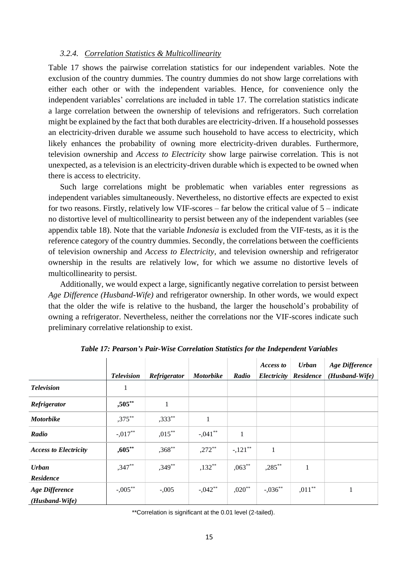#### <span id="page-18-0"></span>*3.2.4. Correlation Statistics & Multicollinearity*

Table 17 shows the pairwise correlation statistics for our independent variables. Note the exclusion of the country dummies. The country dummies do not show large correlations with either each other or with the independent variables. Hence, for convenience only the independent variables' correlations are included in table 17. The correlation statistics indicate a large correlation between the ownership of televisions and refrigerators. Such correlation might be explained by the fact that both durables are electricity-driven. If a household possesses an electricity-driven durable we assume such household to have access to electricity, which likely enhances the probability of owning more electricity-driven durables. Furthermore, television ownership and *Access to Electricity* show large pairwise correlation. This is not unexpected, as a television is an electricity-driven durable which is expected to be owned when there is access to electricity.

Such large correlations might be problematic when variables enter regressions as independent variables simultaneously. Nevertheless, no distortive effects are expected to exist for two reasons. Firstly, relatively low VIF-scores – far below the critical value of 5 – indicate no distortive level of multicollinearity to persist between any of the independent variables (see appendix table 18). Note that the variable *Indonesia* is excluded from the VIF-tests, as it is the reference category of the country dummies. Secondly, the correlations between the coefficients of television ownership and *Access to Electricity,* and television ownership and refrigerator ownership in the results are relatively low, for which we assume no distortive levels of multicollinearity to persist.

Additionally, we would expect a large, significantly negative correlation to persist between *Age Difference (Husband-Wife)* and refrigerator ownership. In other words, we would expect that the older the wife is relative to the husband, the larger the household's probability of owning a refrigerator. Nevertheless, neither the correlations nor the VIF-scores indicate such preliminary correlative relationship to exist.

|                              | <b>Television</b> | Refrigerator | <b>Motorbike</b> | Radio      | Access to    | <b>Urban</b><br>Electricity Residence | <b>Age Difference</b><br>(Husband-Wife) |
|------------------------------|-------------------|--------------|------------------|------------|--------------|---------------------------------------|-----------------------------------------|
| <b>Television</b>            | 1                 |              |                  |            |              |                                       |                                         |
| Refrigerator                 | ,505**            |              |                  |            |              |                                       |                                         |
| <b>Motorbike</b>             | $,375***$         | $,333^{**}$  | 1                |            |              |                                       |                                         |
| Radio                        | $-.017**$         | $,015***$    | $-.041**$        | 1          |              |                                       |                                         |
| <b>Access to Electricity</b> | $,605***$         | $,368**$     | $,272$ **        | $-.121$ ** | $\mathbf{1}$ |                                       |                                         |
| <b>Urban</b>                 | $,347**$          | $,349**$     | $,132**$         | $0.063***$ | $,285***$    | 1                                     |                                         |
| Residence                    |                   |              |                  |            |              |                                       |                                         |
| <b>Age Difference</b>        | $-.005***$        | $-.005$      | $-.042**$        | $,020**$   | $-0.036***$  | $,011***$                             |                                         |
| (Husband-Wife)               |                   |              |                  |            |              |                                       |                                         |

*Table 17: Pearson's Pair-Wise Correlation Statistics for the Independent Variables*

\*\*Correlation is significant at the 0.01 level (2-tailed).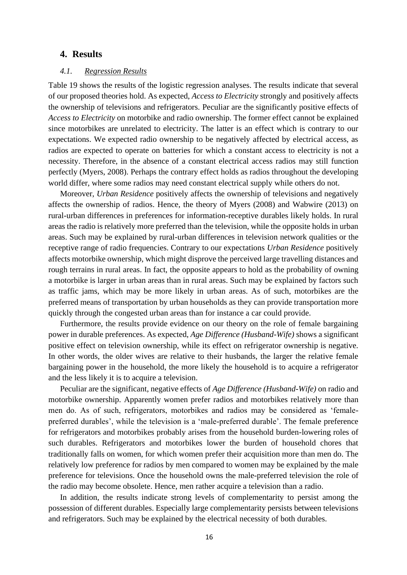#### <span id="page-19-0"></span>**4. Results**

#### <span id="page-19-1"></span>*4.1. Regression Results*

Table 19 shows the results of the logistic regression analyses. The results indicate that several of our proposed theories hold. As expected, *Access to Electricity* strongly and positively affects the ownership of televisions and refrigerators. Peculiar are the significantly positive effects of *Access to Electricity* on motorbike and radio ownership. The former effect cannot be explained since motorbikes are unrelated to electricity. The latter is an effect which is contrary to our expectations. We expected radio ownership to be negatively affected by electrical access, as radios are expected to operate on batteries for which a constant access to electricity is not a necessity. Therefore, in the absence of a constant electrical access radios may still function perfectly (Myers, 2008). Perhaps the contrary effect holds as radios throughout the developing world differ, where some radios may need constant electrical supply while others do not.

Moreover, *Urban Residence* positively affects the ownership of televisions and negatively affects the ownership of radios. Hence, the theory of Myers (2008) and Wabwire (2013) on rural-urban differences in preferences for information-receptive durables likely holds. In rural areas the radio is relatively more preferred than the television, while the opposite holds in urban areas. Such may be explained by rural-urban differences in television network qualities or the receptive range of radio frequencies. Contrary to our expectations *Urban Residence* positively affects motorbike ownership, which might disprove the perceived large travelling distances and rough terrains in rural areas. In fact, the opposite appears to hold as the probability of owning a motorbike is larger in urban areas than in rural areas. Such may be explained by factors such as traffic jams, which may be more likely in urban areas. As of such, motorbikes are the preferred means of transportation by urban households as they can provide transportation more quickly through the congested urban areas than for instance a car could provide.

Furthermore, the results provide evidence on our theory on the role of female bargaining power in durable preferences. As expected, *Age Difference (Husband-Wife)* shows a significant positive effect on television ownership, while its effect on refrigerator ownership is negative. In other words, the older wives are relative to their husbands, the larger the relative female bargaining power in the household, the more likely the household is to acquire a refrigerator and the less likely it is to acquire a television.

Peculiar are the significant, negative effects of *Age Difference (Husband-Wife)* on radio and motorbike ownership. Apparently women prefer radios and motorbikes relatively more than men do. As of such, refrigerators, motorbikes and radios may be considered as 'femalepreferred durables', while the television is a 'male-preferred durable'. The female preference for refrigerators and motorbikes probably arises from the household burden-lowering roles of such durables. Refrigerators and motorbikes lower the burden of household chores that traditionally falls on women, for which women prefer their acquisition more than men do. The relatively low preference for radios by men compared to women may be explained by the male preference for televisions. Once the household owns the male-preferred television the role of the radio may become obsolete. Hence, men rather acquire a television than a radio.

In addition, the results indicate strong levels of complementarity to persist among the possession of different durables. Especially large complementarity persists between televisions and refrigerators. Such may be explained by the electrical necessity of both durables.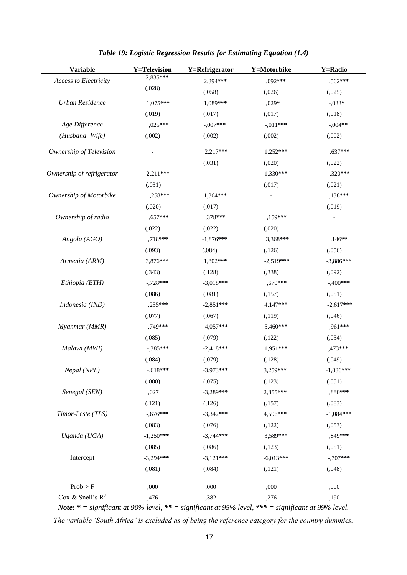| <b>Variable</b>           | <b>Y=Television</b> | Y=Refrigerator | Y=Motorbike | <b>Y=Radio</b> |
|---------------------------|---------------------|----------------|-------------|----------------|
| Access to Electricity     | 2,835***            | 2.394***       | $,092***$   | ,562***        |
|                           | (.028)              | (.058)         | (.026)      | (.025)         |
| Urban Residence           | $1,075***$          | $1,089***$     | $,029*$     | $-.033*$       |
|                           | (.019)              | (.017)         | (.017)      | (.018)         |
| Age Difference            | ,025***             | $-.007***$     | $-.011***$  | $-.004**$      |
| (Husband - Wife)          | (0.002)             | (0.002)        | (.002)      | (0.002)        |
| Ownership of Television   |                     | 2,217***       | $1,252***$  | ,637***        |
|                           |                     | (.031)         | (0.020)     | (.022)         |
| Ownership of refrigerator | $2,211***$          |                | 1,330***    | ,320***        |
|                           | (.031)              |                | (.017)      | (.021)         |
| Ownership of Motorbike    | $1,258***$          | $1,364***$     |             | ,138***        |
|                           | (.020)              | (.017)         |             | (.019)         |
| Ownership of radio        | $0.657***$          | ,378***        | ,159***     |                |
|                           | (.022)              | (.022)         | (.020)      |                |
| Angola (AGO)              | ,718***             | $-1,876***$    | 3,368***    | $,146**$       |
|                           | (.093)              | (.084)         | (.126)      | (.056)         |
| Armenia (ARM)             | 3,876***            | 1,802***       | $-2,519***$ | $-3,886***$    |
|                           | (.343)              | (.128)         | (.338)      | (.092)         |
| Ethiopia (ETH)            | $-.728***$          | $-3,018***$    | ,670***     | $-400***$      |
|                           | (.086)              | (.081)         | (.157)      | (.051)         |
| Indonesia (IND)           | ,255***             | $-2,851***$    | 4,147***    | $-2,617***$    |
|                           | (0,077)             | (0,67)         | (0.119)     | (.046)         |
| Myanmar (MMR)             | ,749***             | $-4.057***$    | 5,460***    | $-961***$      |
|                           | (.085)              | (.079)         | (122)       | (.054)         |
| Malawi (MWI)              | $-385***$           | $-2,418***$    | $1,951***$  | ,473***        |
|                           | (.084)              | (.079)         | (.128)      | (.049)         |
| Nepal (NPL)               | $-0.618***$         | $-3,973***$    | 3,259***    | $-1,086***$    |
|                           | (.080)              | (.075)         | (.123)      | (.051)         |
| Senegal (SEN)             | ,027                | $-3,289***$    | 2,855***    | ,880***        |
|                           | (121)               | (.126)         | (0.157)     | (.083)         |
| Timor-Leste (TLS)         | $-.676***$          | $-3,342***$    | 4,596***    | $-1,084***$    |
|                           | (.083)              | (.076)         | (0.122)     | (.053)         |
| Uganda (UGA)              | $-1,250***$         | $-3,744***$    | 3,589***    | ,849***        |
|                           | (.085)              | (.086)         | (.123)      | (.051)         |
| Intercept                 | $-3,294***$         | $-3,121***$    | $-6,013***$ | $-.707***$     |
|                           | (.081)              | (.084)         | (121)       | (.048)         |
| Prob > F                  | ,000                | ,000           | ,000        | ,000           |
| Cox & Snell's $R^2$       | ,476                | ,382           | ,276        | ,190           |

*Table 19: Logistic Regression Results for Estimating Equation (1.4)*

*Note: \* = significant at 90% level, \*\* = significant at 95% level, \*\*\* = significant at 99% level. The variable 'South Africa' is excluded as of being the reference category for the country dummies.*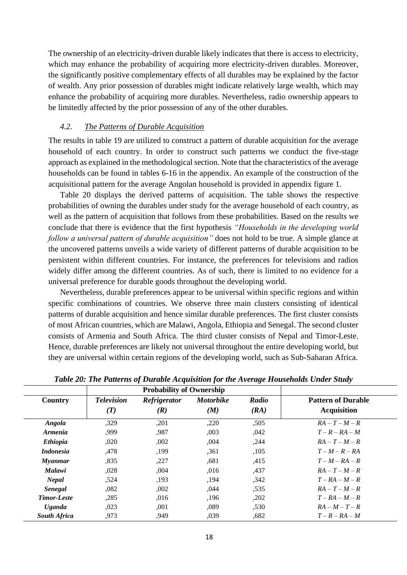The ownership of an electricity-driven durable likely indicates that there is access to electricity, which may enhance the probability of acquiring more electricity-driven durables. Moreover, the significantly positive complementary effects of all durables may be explained by the factor of wealth. Any prior possession of durables might indicate relatively large wealth, which may enhance the probability of acquiring more durables. Nevertheless, radio ownership appears to be limitedly affected by the prior possession of any of the other durables.

#### <span id="page-21-0"></span>*4.2. The Patterns of Durable Acquisition*

The results in table 19 are utilized to construct a pattern of durable acquisition for the average household of each country. In order to construct such patterns we conduct the five-stage approach as explained in the methodological section. Note that the characteristics of the average households can be found in tables 6-16 in the appendix. An example of the construction of the acquisitional pattern for the average Angolan household is provided in appendix figure 1.

Table 20 displays the derived patterns of acquisition. The table shows the respective probabilities of owning the durables under study for the average household of each country, as well as the pattern of acquisition that follows from these probabilities. Based on the results we conclude that there is evidence that the first hypothesis *"Households in the developing world follow a universal pattern of durable acquisition"* does not hold to be true. A simple glance at the uncovered patterns unveils a wide variety of different patterns of durable acquisition to be persistent within different countries. For instance, the preferences for televisions and radios widely differ among the different countries. As of such, there is limited to no evidence for a universal preference for durable goods throughout the developing world.

Nevertheless, durable preferences appear to be universal within specific regions and within specific combinations of countries. We observe three main clusters consisting of identical patterns of durable acquisition and hence similar durable preferences. The first cluster consists of most African countries, which are Malawi, Angola, Ethiopia and Senegal. The second cluster consists of Armenia and South Africa. The third cluster consists of Nepal and Timor-Leste. Hence, durable preferences are likely not universal throughout the entire developing world, but they are universal within certain regions of the developing world, such as Sub-Saharan Africa.

| Country               | <b>Television</b> | <b>Refrigerator</b> | <b>Motorbike</b> | Radio | <b>Pattern of Durable</b> |
|-----------------------|-------------------|---------------------|------------------|-------|---------------------------|
|                       | (T)               | (R)                 | (M)              | (RA)  | <b>Acquisition</b>        |
| Angola                | ,329              | .201                | ,220             | ,505  | $RA - T - M - R$          |
| <i><b>Armenia</b></i> | ,999              | ,987                | ,003             | ,042  | $T - R - RA - M$          |
| <b>Ethiopia</b>       | ,020              | ,002                | ,004             | ,244  | $RA-T-M-R$                |
| <i>Indonesia</i>      | ,478              | ,199                | ,361             | ,105  | $T-M-R-R$                 |
| <b>Myanmar</b>        | ,835              | ,227                | ,681             | ,415  | $T-M-RA-R$                |
| <b>Malawi</b>         | ,028              | .004                | .016             | ,437  | $RA-T-M-R$                |
| <b>Nepal</b>          | .524              | ,193                | ,194             | ,342  | $T - RA - M - R$          |
| <b>Senegal</b>        | .082              | ,002                | .044             | .535  | $RA-T-M-R$                |
| <b>Timor-Leste</b>    | .285              | .016                | .196             | ,202  | $T - RA - M - R$          |
| <b>Uganda</b>         | ,023              | ,001                | ,089             | ,530  | $RA - M - T - R$          |
| <b>South Africa</b>   | .973              | .949                | ,039             | .682  | $T - R - RA - M$          |

*Table 20: The Patterns of Durable Acquisition for the Average Households Under Study*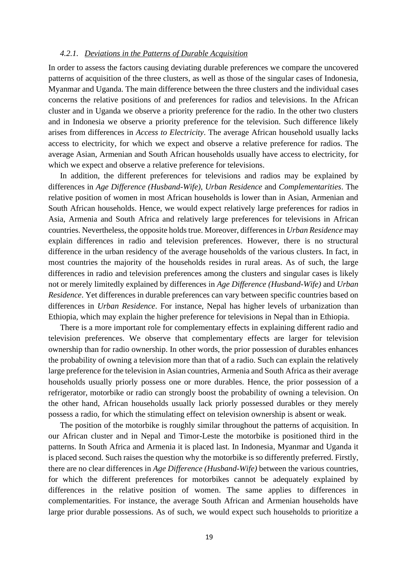#### <span id="page-22-0"></span>*4.2.1. Deviations in the Patterns of Durable Acquisition*

In order to assess the factors causing deviating durable preferences we compare the uncovered patterns of acquisition of the three clusters, as well as those of the singular cases of Indonesia, Myanmar and Uganda. The main difference between the three clusters and the individual cases concerns the relative positions of and preferences for radios and televisions. In the African cluster and in Uganda we observe a priority preference for the radio. In the other two clusters and in Indonesia we observe a priority preference for the television. Such difference likely arises from differences in *Access to Electricity*. The average African household usually lacks access to electricity, for which we expect and observe a relative preference for radios. The average Asian, Armenian and South African households usually have access to electricity, for which we expect and observe a relative preference for televisions.

In addition, the different preferences for televisions and radios may be explained by differences in *Age Difference (Husband-Wife)*, *Urban Residence* and *Complementarities*. The relative position of women in most African households is lower than in Asian, Armenian and South African households. Hence, we would expect relatively large preferences for radios in Asia, Armenia and South Africa and relatively large preferences for televisions in African countries. Nevertheless, the opposite holds true. Moreover, differences in *Urban Residence* may explain differences in radio and television preferences. However, there is no structural difference in the urban residency of the average households of the various clusters. In fact, in most countries the majority of the households resides in rural areas. As of such, the large differences in radio and television preferences among the clusters and singular cases is likely not or merely limitedly explained by differences in *Age Difference (Husband-Wife)* and *Urban Residence*. Yet differences in durable preferences can vary between specific countries based on differences in *Urban Residence*. For instance, Nepal has higher levels of urbanization than Ethiopia, which may explain the higher preference for televisions in Nepal than in Ethiopia.

There is a more important role for complementary effects in explaining different radio and television preferences. We observe that complementary effects are larger for television ownership than for radio ownership. In other words, the prior possession of durables enhances the probability of owning a television more than that of a radio. Such can explain the relatively large preference for the television in Asian countries, Armenia and South Africa as their average households usually priorly possess one or more durables. Hence, the prior possession of a refrigerator, motorbike or radio can strongly boost the probability of owning a television. On the other hand, African households usually lack priorly possessed durables or they merely possess a radio, for which the stimulating effect on television ownership is absent or weak.

The position of the motorbike is roughly similar throughout the patterns of acquisition. In our African cluster and in Nepal and Timor-Leste the motorbike is positioned third in the patterns. In South Africa and Armenia it is placed last. In Indonesia, Myanmar and Uganda it is placed second. Such raises the question why the motorbike is so differently preferred. Firstly, there are no clear differences in *Age Difference (Husband-Wife)* between the various countries, for which the different preferences for motorbikes cannot be adequately explained by differences in the relative position of women. The same applies to differences in complementarities. For instance, the average South African and Armenian households have large prior durable possessions. As of such, we would expect such households to prioritize a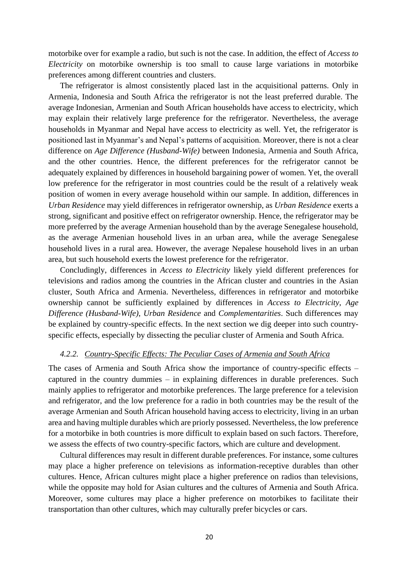motorbike over for example a radio, but such is not the case. In addition, the effect of *Access to Electricity* on motorbike ownership is too small to cause large variations in motorbike preferences among different countries and clusters.

The refrigerator is almost consistently placed last in the acquisitional patterns. Only in Armenia, Indonesia and South Africa the refrigerator is not the least preferred durable. The average Indonesian, Armenian and South African households have access to electricity, which may explain their relatively large preference for the refrigerator. Nevertheless, the average households in Myanmar and Nepal have access to electricity as well. Yet, the refrigerator is positioned last in Myanmar's and Nepal's patterns of acquisition. Moreover, there is not a clear difference on *Age Difference (Husband-Wife)* between Indonesia, Armenia and South Africa, and the other countries. Hence, the different preferences for the refrigerator cannot be adequately explained by differences in household bargaining power of women. Yet, the overall low preference for the refrigerator in most countries could be the result of a relatively weak position of women in every average household within our sample. In addition, differences in *Urban Residence* may yield differences in refrigerator ownership, as *Urban Residence* exerts a strong, significant and positive effect on refrigerator ownership. Hence, the refrigerator may be more preferred by the average Armenian household than by the average Senegalese household, as the average Armenian household lives in an urban area, while the average Senegalese household lives in a rural area. However, the average Nepalese household lives in an urban area, but such household exerts the lowest preference for the refrigerator.

Concludingly, differences in *Access to Electricity* likely yield different preferences for televisions and radios among the countries in the African cluster and countries in the Asian cluster, South Africa and Armenia. Nevertheless, differences in refrigerator and motorbike ownership cannot be sufficiently explained by differences in *Access to Electricity*, *Age Difference (Husband-Wife)*, *Urban Residence* and *Complementarities*. Such differences may be explained by country-specific effects. In the next section we dig deeper into such countryspecific effects, especially by dissecting the peculiar cluster of Armenia and South Africa.

#### <span id="page-23-0"></span>*4.2.2. Country-Specific Effects: The Peculiar Cases of Armenia and South Africa*

The cases of Armenia and South Africa show the importance of country-specific effects – captured in the country dummies – in explaining differences in durable preferences. Such mainly applies to refrigerator and motorbike preferences. The large preference for a television and refrigerator, and the low preference for a radio in both countries may be the result of the average Armenian and South African household having access to electricity, living in an urban area and having multiple durables which are priorly possessed. Nevertheless, the low preference for a motorbike in both countries is more difficult to explain based on such factors. Therefore, we assess the effects of two country-specific factors, which are culture and development.

Cultural differences may result in different durable preferences. For instance, some cultures may place a higher preference on televisions as information-receptive durables than other cultures. Hence, African cultures might place a higher preference on radios than televisions, while the opposite may hold for Asian cultures and the cultures of Armenia and South Africa. Moreover, some cultures may place a higher preference on motorbikes to facilitate their transportation than other cultures, which may culturally prefer bicycles or cars.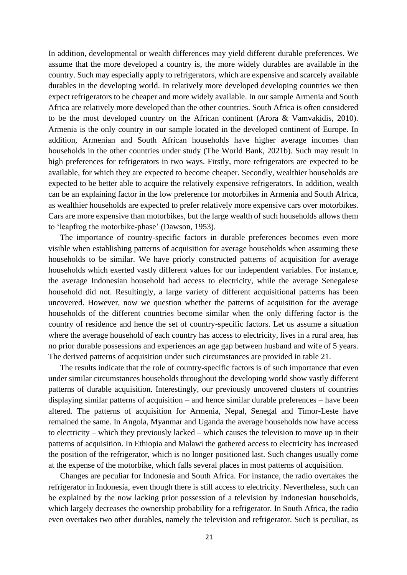In addition, developmental or wealth differences may yield different durable preferences. We assume that the more developed a country is, the more widely durables are available in the country. Such may especially apply to refrigerators, which are expensive and scarcely available durables in the developing world. In relatively more developed developing countries we then expect refrigerators to be cheaper and more widely available. In our sample Armenia and South Africa are relatively more developed than the other countries. South Africa is often considered to be the most developed country on the African continent (Arora & Vamvakidis, 2010). Armenia is the only country in our sample located in the developed continent of Europe. In addition, Armenian and South African households have higher average incomes than households in the other countries under study (The World Bank, 2021b). Such may result in high preferences for refrigerators in two ways. Firstly, more refrigerators are expected to be available, for which they are expected to become cheaper. Secondly, wealthier households are expected to be better able to acquire the relatively expensive refrigerators. In addition, wealth can be an explaining factor in the low preference for motorbikes in Armenia and South Africa, as wealthier households are expected to prefer relatively more expensive cars over motorbikes. Cars are more expensive than motorbikes, but the large wealth of such households allows them to 'leapfrog the motorbike-phase' (Dawson, 1953).

The importance of country-specific factors in durable preferences becomes even more visible when establishing patterns of acquisition for average households when assuming these households to be similar. We have priorly constructed patterns of acquisition for average households which exerted vastly different values for our independent variables. For instance, the average Indonesian household had access to electricity, while the average Senegalese household did not. Resultingly, a large variety of different acquisitional patterns has been uncovered. However, now we question whether the patterns of acquisition for the average households of the different countries become similar when the only differing factor is the country of residence and hence the set of country-specific factors. Let us assume a situation where the average household of each country has access to electricity, lives in a rural area, has no prior durable possessions and experiences an age gap between husband and wife of 5 years. The derived patterns of acquisition under such circumstances are provided in table 21.

The results indicate that the role of country-specific factors is of such importance that even under similar circumstances households throughout the developing world show vastly different patterns of durable acquisition. Interestingly, our previously uncovered clusters of countries displaying similar patterns of acquisition – and hence similar durable preferences – have been altered. The patterns of acquisition for Armenia, Nepal, Senegal and Timor-Leste have remained the same. In Angola, Myanmar and Uganda the average households now have access to electricity – which they previously lacked – which causes the television to move up in their patterns of acquisition. In Ethiopia and Malawi the gathered access to electricity has increased the position of the refrigerator, which is no longer positioned last. Such changes usually come at the expense of the motorbike, which falls several places in most patterns of acquisition.

Changes are peculiar for Indonesia and South Africa. For instance, the radio overtakes the refrigerator in Indonesia, even though there is still access to electricity. Nevertheless, such can be explained by the now lacking prior possession of a television by Indonesian households, which largely decreases the ownership probability for a refrigerator. In South Africa, the radio even overtakes two other durables, namely the television and refrigerator. Such is peculiar, as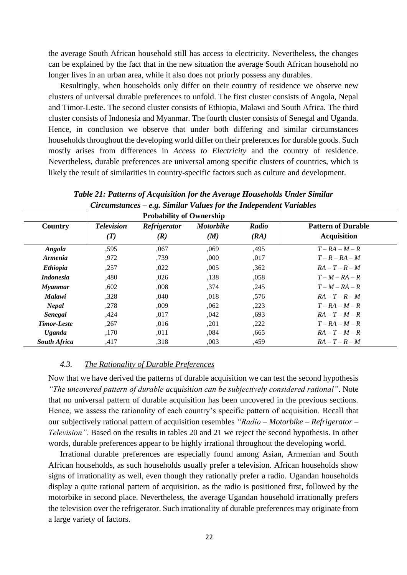the average South African household still has access to electricity. Nevertheless, the changes can be explained by the fact that in the new situation the average South African household no longer lives in an urban area, while it also does not priorly possess any durables.

Resultingly, when households only differ on their country of residence we observe new clusters of universal durable preferences to unfold. The first cluster consists of Angola, Nepal and Timor-Leste. The second cluster consists of Ethiopia, Malawi and South Africa. The third cluster consists of Indonesia and Myanmar. The fourth cluster consists of Senegal and Uganda. Hence, in conclusion we observe that under both differing and similar circumstances households throughout the developing world differ on their preferences for durable goods. Such mostly arises from differences in *Access to Electricity* and the country of residence. Nevertheless, durable preferences are universal among specific clusters of countries, which is likely the result of similarities in country-specific factors such as culture and development.

|                       |                          | <b>Probability of Ownership</b> |                         |               |                                                 |
|-----------------------|--------------------------|---------------------------------|-------------------------|---------------|-------------------------------------------------|
| Country               | <b>Television</b><br>(T) | Refrigerator<br>(R)             | <b>Motorbike</b><br>(M) | Radio<br>(RA) | <b>Pattern of Durable</b><br><b>Acquisition</b> |
| <b>Angola</b>         | ,595                     | ,067                            | ,069                    | ,495          | $T - RA - M - R$                                |
| <i><b>Armenia</b></i> | ,972                     | ,739                            | ,000                    | ,017          | $T - R - RA - M$                                |
| <b>Ethiopia</b>       | ,257                     | ,022                            | ,005                    | ,362          | $RA - T - R - M$                                |
| <i>Indonesia</i>      | ,480                     | ,026                            | ,138                    | ,058          | $T-M-RA-R$                                      |
| <b>Myanmar</b>        | ,602                     | ,008                            | ,374                    | ,245          | $T-M-RA-R$                                      |
| <b>Malawi</b>         | ,328                     | ,040                            | ,018                    | ,576          | $RA - T - R - M$                                |
| <b>Nepal</b>          | ,278                     | .009                            | .062                    | ,223          | $T - RA - M - R$                                |
| <b>Senegal</b>        | ,424                     | ,017                            | ,042                    | ,693          | $RA-T-M-R$                                      |
| <b>Timor-Leste</b>    | ,267                     | ,016                            | ,201                    | ,222          | $T - RA - M - R$                                |
| <b>Uganda</b>         | ,170                     | ,011                            | ,084                    | ,665          | $RA-T-M-R$                                      |
| <b>South Africa</b>   | ,417                     | ,318                            | ,003                    | ,459          | $RA-T-R-M$                                      |

*Table 21: Patterns of Acquisition for the Average Households Under Similar Circumstances – e.g. Similar Values for the Independent Variables*

#### <span id="page-25-0"></span>*4.3. The Rationality of Durable Preferences*

Now that we have derived the patterns of durable acquisition we can test the second hypothesis *"The uncovered pattern of durable acquisition can be subjectively considered rational"*. Note that no universal pattern of durable acquisition has been uncovered in the previous sections. Hence, we assess the rationality of each country's specific pattern of acquisition. Recall that our subjectively rational pattern of acquisition resembles *"Radio – Motorbike – Refrigerator – Television".* Based on the results in tables 20 and 21 we reject the second hypothesis. In other words, durable preferences appear to be highly irrational throughout the developing world.

Irrational durable preferences are especially found among Asian, Armenian and South African households, as such households usually prefer a television. African households show signs of irrationality as well, even though they rationally prefer a radio. Ugandan households display a quite rational pattern of acquisition, as the radio is positioned first, followed by the motorbike in second place. Nevertheless, the average Ugandan household irrationally prefers the television over the refrigerator. Such irrationality of durable preferences may originate from a large variety of factors.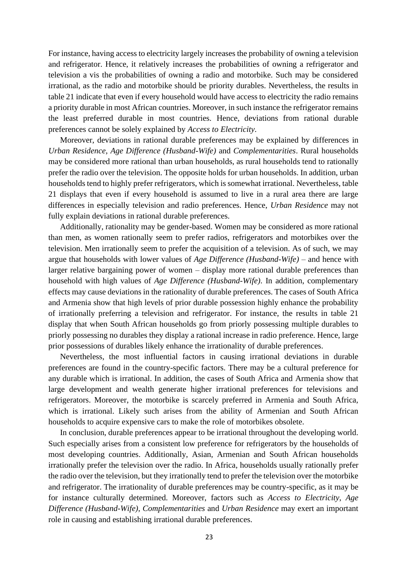For instance, having access to electricity largely increases the probability of owning a television and refrigerator. Hence, it relatively increases the probabilities of owning a refrigerator and television a vis the probabilities of owning a radio and motorbike. Such may be considered irrational, as the radio and motorbike should be priority durables. Nevertheless, the results in table 21 indicate that even if every household would have access to electricity the radio remains a priority durable in most African countries. Moreover, in such instance the refrigerator remains the least preferred durable in most countries. Hence, deviations from rational durable preferences cannot be solely explained by *Access to Electricity*.

Moreover, deviations in rational durable preferences may be explained by differences in *Urban Residence*, *Age Difference (Husband-Wife)* and *Complementarities*. Rural households may be considered more rational than urban households, as rural households tend to rationally prefer the radio over the television. The opposite holds for urban households. In addition, urban households tend to highly prefer refrigerators, which is somewhat irrational. Nevertheless, table 21 displays that even if every household is assumed to live in a rural area there are large differences in especially television and radio preferences. Hence, *Urban Residence* may not fully explain deviations in rational durable preferences.

Additionally, rationality may be gender-based. Women may be considered as more rational than men, as women rationally seem to prefer radios, refrigerators and motorbikes over the television. Men irrationally seem to prefer the acquisition of a television. As of such, we may argue that households with lower values of *Age Difference (Husband-Wife)* – and hence with larger relative bargaining power of women – display more rational durable preferences than household with high values of *Age Difference (Husband-Wife)*. In addition, complementary effects may cause deviations in the rationality of durable preferences. The cases of South Africa and Armenia show that high levels of prior durable possession highly enhance the probability of irrationally preferring a television and refrigerator. For instance, the results in table 21 display that when South African households go from priorly possessing multiple durables to priorly possessing no durables they display a rational increase in radio preference. Hence, large prior possessions of durables likely enhance the irrationality of durable preferences.

Nevertheless, the most influential factors in causing irrational deviations in durable preferences are found in the country-specific factors. There may be a cultural preference for any durable which is irrational. In addition, the cases of South Africa and Armenia show that large development and wealth generate higher irrational preferences for televisions and refrigerators. Moreover, the motorbike is scarcely preferred in Armenia and South Africa, which is irrational. Likely such arises from the ability of Armenian and South African households to acquire expensive cars to make the role of motorbikes obsolete.

In conclusion, durable preferences appear to be irrational throughout the developing world. Such especially arises from a consistent low preference for refrigerators by the households of most developing countries. Additionally, Asian, Armenian and South African households irrationally prefer the television over the radio. In Africa, households usually rationally prefer the radio over the television, but they irrationally tend to prefer the television over the motorbike and refrigerator. The irrationality of durable preferences may be country-specific, as it may be for instance culturally determined. Moreover, factors such as *Access to Electricity*, *Age Difference (Husband-Wife)*, *Complementarities* and *Urban Residence* may exert an important role in causing and establishing irrational durable preferences.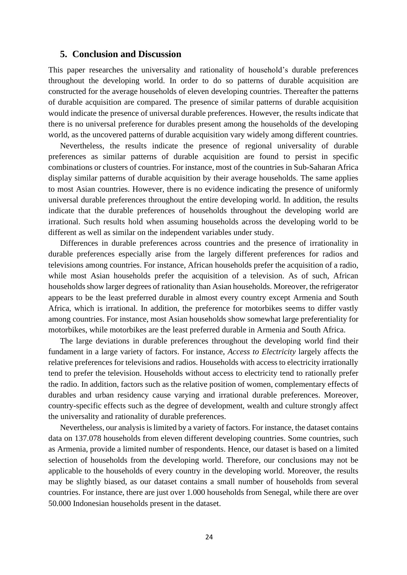#### <span id="page-27-0"></span>**5. Conclusion and Discussion**

This paper researches the universality and rationality of household's durable preferences throughout the developing world. In order to do so patterns of durable acquisition are constructed for the average households of eleven developing countries. Thereafter the patterns of durable acquisition are compared. The presence of similar patterns of durable acquisition would indicate the presence of universal durable preferences. However, the results indicate that there is no universal preference for durables present among the households of the developing world, as the uncovered patterns of durable acquisition vary widely among different countries.

Nevertheless, the results indicate the presence of regional universality of durable preferences as similar patterns of durable acquisition are found to persist in specific combinations or clusters of countries. For instance, most of the countries in Sub-Saharan Africa display similar patterns of durable acquisition by their average households. The same applies to most Asian countries. However, there is no evidence indicating the presence of uniformly universal durable preferences throughout the entire developing world. In addition, the results indicate that the durable preferences of households throughout the developing world are irrational. Such results hold when assuming households across the developing world to be different as well as similar on the independent variables under study.

Differences in durable preferences across countries and the presence of irrationality in durable preferences especially arise from the largely different preferences for radios and televisions among countries. For instance, African households prefer the acquisition of a radio, while most Asian households prefer the acquisition of a television. As of such, African households show larger degrees of rationality than Asian households. Moreover, the refrigerator appears to be the least preferred durable in almost every country except Armenia and South Africa, which is irrational. In addition, the preference for motorbikes seems to differ vastly among countries. For instance, most Asian households show somewhat large preferentiality for motorbikes, while motorbikes are the least preferred durable in Armenia and South Africa.

The large deviations in durable preferences throughout the developing world find their fundament in a large variety of factors. For instance, *Access to Electricity* largely affects the relative preferences for televisions and radios. Households with access to electricity irrationally tend to prefer the television. Households without access to electricity tend to rationally prefer the radio. In addition, factors such as the relative position of women, complementary effects of durables and urban residency cause varying and irrational durable preferences. Moreover, country-specific effects such as the degree of development, wealth and culture strongly affect the universality and rationality of durable preferences.

Nevertheless, our analysis is limited by a variety of factors. For instance, the dataset contains data on 137.078 households from eleven different developing countries. Some countries, such as Armenia, provide a limited number of respondents. Hence, our dataset is based on a limited selection of households from the developing world. Therefore, our conclusions may not be applicable to the households of every country in the developing world. Moreover, the results may be slightly biased, as our dataset contains a small number of households from several countries. For instance, there are just over 1.000 households from Senegal, while there are over 50.000 Indonesian households present in the dataset.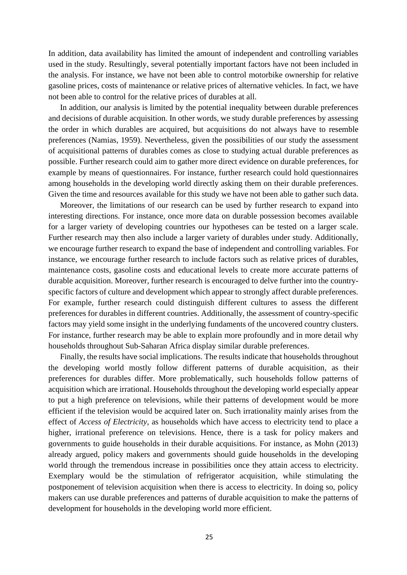In addition, data availability has limited the amount of independent and controlling variables used in the study. Resultingly, several potentially important factors have not been included in the analysis. For instance, we have not been able to control motorbike ownership for relative gasoline prices, costs of maintenance or relative prices of alternative vehicles. In fact, we have not been able to control for the relative prices of durables at all.

In addition, our analysis is limited by the potential inequality between durable preferences and decisions of durable acquisition. In other words, we study durable preferences by assessing the order in which durables are acquired, but acquisitions do not always have to resemble preferences (Namias, 1959). Nevertheless, given the possibilities of our study the assessment of acquisitional patterns of durables comes as close to studying actual durable preferences as possible. Further research could aim to gather more direct evidence on durable preferences, for example by means of questionnaires. For instance, further research could hold questionnaires among households in the developing world directly asking them on their durable preferences. Given the time and resources available for this study we have not been able to gather such data.

Moreover, the limitations of our research can be used by further research to expand into interesting directions. For instance, once more data on durable possession becomes available for a larger variety of developing countries our hypotheses can be tested on a larger scale. Further research may then also include a larger variety of durables under study. Additionally, we encourage further research to expand the base of independent and controlling variables. For instance, we encourage further research to include factors such as relative prices of durables, maintenance costs, gasoline costs and educational levels to create more accurate patterns of durable acquisition. Moreover, further research is encouraged to delve further into the countryspecific factors of culture and development which appear to strongly affect durable preferences. For example, further research could distinguish different cultures to assess the different preferences for durables in different countries. Additionally, the assessment of country-specific factors may yield some insight in the underlying fundaments of the uncovered country clusters. For instance, further research may be able to explain more profoundly and in more detail why households throughout Sub-Saharan Africa display similar durable preferences.

Finally, the results have social implications. The results indicate that households throughout the developing world mostly follow different patterns of durable acquisition, as their preferences for durables differ. More problematically, such households follow patterns of acquisition which are irrational. Households throughout the developing world especially appear to put a high preference on televisions, while their patterns of development would be more efficient if the television would be acquired later on. Such irrationality mainly arises from the effect of *Access of Electricity*, as households which have access to electricity tend to place a higher, irrational preference on televisions. Hence, there is a task for policy makers and governments to guide households in their durable acquisitions. For instance, as Mohn (2013) already argued, policy makers and governments should guide households in the developing world through the tremendous increase in possibilities once they attain access to electricity. Exemplary would be the stimulation of refrigerator acquisition, while stimulating the postponement of television acquisition when there is access to electricity. In doing so, policy makers can use durable preferences and patterns of durable acquisition to make the patterns of development for households in the developing world more efficient.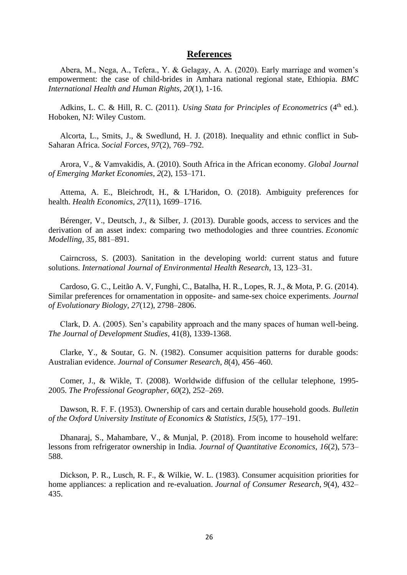#### **References**

<span id="page-29-0"></span>Abera, M., Nega, A., Tefera., Y. & Gelagay, A. A. (2020). Early marriage and women's empowerment: the case of child-brides in Amhara national regional state, Ethiopia. *BMC International Health and Human Rights, 20*(1), 1-16.

Adkins, L. C. & Hill, R. C. (2011). *Using Stata for Principles of Econometrics* (4<sup>th</sup> ed.). Hoboken, NJ: Wiley Custom.

Alcorta, L., Smits, J., & Swedlund, H. J. (2018). Inequality and ethnic conflict in Sub-Saharan Africa. *Social Forces*, *97*(2), 769–792.

Arora, V., & Vamvakidis, A. (2010). South Africa in the African economy. *Global Journal of Emerging Market Economies*, *2*(2), 153–171.

Attema, A. E., Bleichrodt, H., & L'Haridon, O. (2018). Ambiguity preferences for health. *Health Economics*, *27*(11), 1699–1716.

Bérenger, V., Deutsch, J., & Silber, J. (2013). Durable goods, access to services and the derivation of an asset index: comparing two methodologies and three countries. *Economic Modelling*, *35*, 881–891.

Cairncross, S. (2003). Sanitation in the developing world: current status and future solutions. *International Journal of Environmental Health Research*, 13, 123–31.

Cardoso, G. C., Leitão A. V, Funghi, C., Batalha, H. R., Lopes, R. J., & Mota, P. G. (2014). Similar preferences for ornamentation in opposite- and same-sex choice experiments. *Journal of Evolutionary Biology*, *27*(12), 2798–2806.

Clark, D. A. (2005). Sen's capability approach and the many spaces of human well-being. *The Journal of Development Studies*, 41(8), 1339-1368.

Clarke, Y., & Soutar, G. N. (1982). Consumer acquisition patterns for durable goods: Australian evidence. *Journal of Consumer Research*, *8*(4), 456–460.

Comer, J., & Wikle, T. (2008). Worldwide diffusion of the cellular telephone, 1995- 2005. *The Professional Geographer*, *60*(2), 252–269.

Dawson, R. F. F. (1953). Ownership of cars and certain durable household goods. *Bulletin of the Oxford University Institute of Economics & Statistics*, *15*(5), 177–191.

Dhanaraj, S., Mahambare, V., & Munjal, P. (2018). From income to household welfare: lessons from refrigerator ownership in India. *Journal of Quantitative Economics*, *16*(2), 573– 588.

Dickson, P. R., Lusch, R. F., & Wilkie, W. L. (1983). Consumer acquisition priorities for home appliances: a replication and re-evaluation. *Journal of Consumer Research*, *9*(4), 432– 435.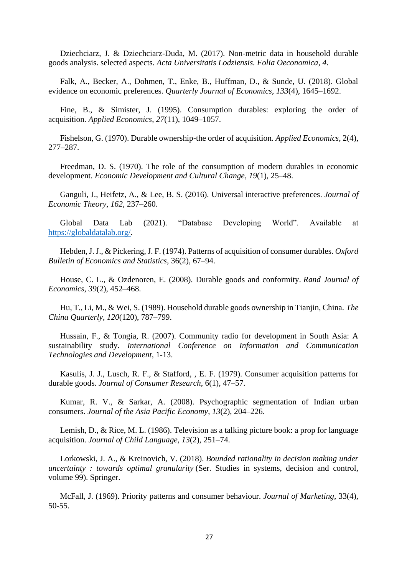Dziechciarz, J. & Dziechciarz-Duda, M. (2017). Non-metric data in household durable goods analysis. selected aspects. *Acta Universitatis Lodziensis. Folia Oeconomica*, *4*.

Falk, A., Becker, A., Dohmen, T., Enke, B., Huffman, D., & Sunde, U. (2018). Global evidence on economic preferences. *Quarterly Journal of Economics*, *133*(4), 1645–1692.

Fine, B., & Simister, J. (1995). Consumption durables: exploring the order of acquisition. *Applied Economics*, *27*(11), 1049–1057.

Fishelson, G. (1970). Durable ownership-the order of acquisition. *Applied Economics*, 2(4), 277–287.

Freedman, D. S. (1970). The role of the consumption of modern durables in economic development. *Economic Development and Cultural Change*, *19*(1), 25–48.

Ganguli, J., Heifetz, A., & Lee, B. S. (2016). Universal interactive preferences. *Journal of Economic Theory*, *162*, 237–260.

Global Data Lab (2021). "Database Developing World". Available at [https://globaldatalab.org/.](https://globaldatalab.org/)

Hebden, J. J., & Pickering, J. F. (1974). Patterns of acquisition of consumer durables. *Oxford Bulletin of Economics and Statistics*, 36(2), 67–94.

House, C. L., & Ozdenoren, E. (2008). Durable goods and conformity. *Rand Journal of Economics*, *39*(2), 452–468.

Hu, T., Li, M., & Wei, S. (1989). Household durable goods ownership in Tianjin, China. *The China Quarterly*, *120*(120), 787–799.

Hussain, F., & Tongia, R. (2007). Community radio for development in South Asia: A sustainability study. *International Conference on Information and Communication Technologies and Development*, 1-13.

Kasulis, J. J., Lusch, R. F., & Stafford, , E. F. (1979). Consumer acquisition patterns for durable goods. *Journal of Consumer Research*, 6(1), 47–57.

Kumar, R. V., & Sarkar, A. (2008). Psychographic segmentation of Indian urban consumers. *Journal of the Asia Pacific Economy*, *13*(2), 204–226.

Lemish, D., & Rice, M. L. (1986). Television as a talking picture book: a prop for language acquisition. *Journal of Child Language*, *13*(2), 251–74.

Lorkowski, J. A., & Kreinovich, V. (2018). *Bounded rationality in decision making under uncertainty : towards optimal granularity* (Ser. Studies in systems, decision and control, volume 99). Springer.

McFall, J. (1969). Priority patterns and consumer behaviour. *Journal of Marketing,* 33(4), 50-55.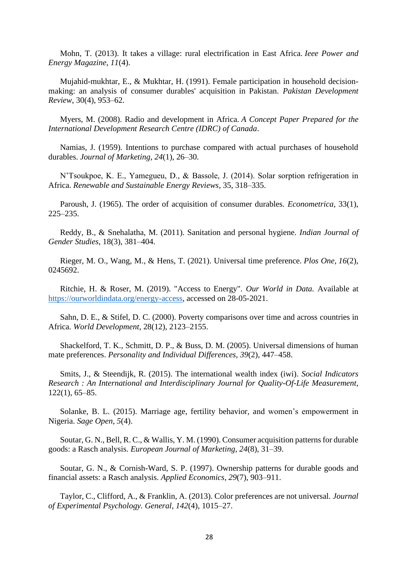Mohn, T. (2013). It takes a village: rural electrification in East Africa. *Ieee Power and Energy Magazine*, *11*(4).

Mujahid-mukhtar, E., & Mukhtar, H. (1991). Female participation in household decisionmaking: an analysis of consumer durables' acquisition in Pakistan. *Pakistan Development Review*, 30(4), 953–62.

Myers, M. (2008). Radio and development in Africa. *A Concept Paper Prepared for the International Development Research Centre (IDRC) of Canada*.

Namias, J. (1959). Intentions to purchase compared with actual purchases of household durables. *Journal of Marketing*, *24*(1), 26–30.

N'Tsoukpoe, K. E., Yamegueu, D., & Bassole, J. (2014). Solar sorption refrigeration in Africa. *Renewable and Sustainable Energy Reviews*, 35, 318–335.

Paroush, J. (1965). The order of acquisition of consumer durables. *Econometrica*, 33(1), 225–235.

Reddy, B., & Snehalatha, M. (2011). Sanitation and personal hygiene. *Indian Journal of Gender Studies*, 18(3), 381–404.

Rieger, M. O., Wang, M., & Hens, T. (2021). Universal time preference. *Plos One*, *16*(2), 0245692.

Ritchie, H. & Roser, M. (2019). "Access to Energy". *Our World in Data.* Available at [https://ourworldindata.org/energy-access,](https://ourworldindata.org/energy-access) accessed on 28-05-2021.

Sahn, D. E., & Stifel, D. C. (2000). Poverty comparisons over time and across countries in Africa. *World Development*, 28(12), 2123–2155.

Shackelford, T. K., Schmitt, D. P., & Buss, D. M. (2005). Universal dimensions of human mate preferences. *Personality and Individual Differences*, *39*(2), 447–458.

Smits, J., & Steendijk, R. (2015). The international wealth index (iwi). *Social Indicators Research : An International and Interdisciplinary Journal for Quality-Of-Life Measurement*, 122(1), 65–85.

Solanke, B. L. (2015). Marriage age, fertility behavior, and women's empowerment in Nigeria. *Sage Open*, *5*(4).

Soutar, G. N., Bell, R. C., & Wallis, Y. M. (1990). Consumer acquisition patterns for durable goods: a Rasch analysis. *European Journal of Marketing*, *24*(8), 31–39.

Soutar, G. N., & Cornish-Ward, S. P. (1997). Ownership patterns for durable goods and financial assets: a Rasch analysis. *Applied Economics*, *29*(7), 903–911.

Taylor, C., Clifford, A., & Franklin, A. (2013). Color preferences are not universal. *Journal of Experimental Psychology. General*, *142*(4), 1015–27.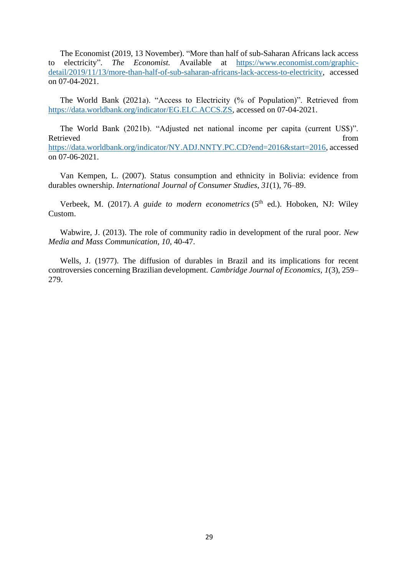The Economist (2019, 13 November). "More than half of sub-Saharan Africans lack access to electricity". *The Economist.* Available at [https://www.economist.com/graphic](https://www.economist.com/graphic-detail/2019/11/13/more-than-half-of-sub-saharan-africans-lack-access-to-electricity)[detail/2019/11/13/more-than-half-of-sub-saharan-africans-lack-access-to-electricity,](https://www.economist.com/graphic-detail/2019/11/13/more-than-half-of-sub-saharan-africans-lack-access-to-electricity) accessed on 07-04-2021.

The World Bank (2021a). "Access to Electricity (% of Population)". Retrieved from [https://data.worldbank.org/indicator/EG.ELC.ACCS.ZS,](https://data.worldbank.org/indicator/EG.ELC.ACCS.ZS) accessed on 07-04-2021.

The World Bank (2021b). "Adjusted net national income per capita (current US\$)". Retrieved from the state of the state of the state of the state of the state of the state of the state of the state of the state of the state of the state of the state of the state of the state of the state of the state of [https://data.worldbank.org/indicator/NY.ADJ.NNTY.PC.CD?end=2016&start=2016,](https://data.worldbank.org/indicator/NY.ADJ.NNTY.PC.CD?end=2016&start=2016) accessed on 07-06-2021.

Van Kempen, L. (2007). Status consumption and ethnicity in Bolivia: evidence from durables ownership. *International Journal of Consumer Studies*, *31*(1), 76–89.

Verbeek, M. (2017). *A guide to modern econometrics* (5<sup>th</sup> ed.). Hoboken, NJ: Wiley Custom.

Wabwire, J. (2013). The role of community radio in development of the rural poor. *New Media and Mass Communication, 10*, 40-47.

Wells, J. (1977). The diffusion of durables in Brazil and its implications for recent controversies concerning Brazilian development. *Cambridge Journal of Economics*, *1*(3), 259– 279.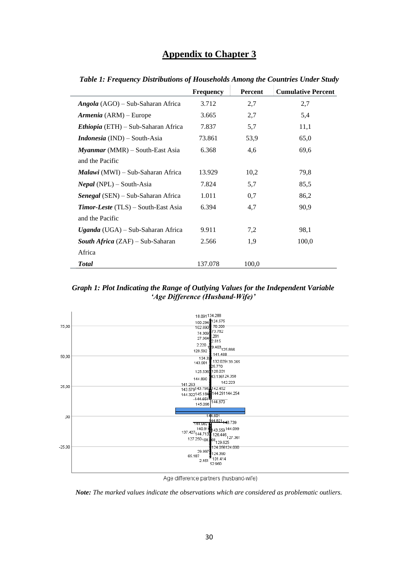# **Appendix to Chapter 3**

|                                            | <b>Frequency</b> | <b>Percent</b> | <b>Cumulative Percent</b> |
|--------------------------------------------|------------------|----------------|---------------------------|
| <i>Angola</i> (AGO) – Sub-Saharan Africa   | 3.712            | 2,7            | 2,7                       |
| Armenia (ARM) – Europe                     | 3.665            | 2,7            | 5,4                       |
| <i>Ethiopia</i> (ETH) – Sub-Saharan Africa | 7.837            | 5,7            | 11,1                      |
| <b>Indonesia</b> (IND) – South-Asia        | 73.861           | 53,9           | 65,0                      |
| $Myannar(MMR) - South\text{-}East Asia$    | 6.368            | 4,6            | 69,6                      |
| and the Pacific                            |                  |                |                           |
| <i>Malawi</i> (MWI) – Sub-Saharan Africa   | 13.929           | 10,2           | 79,8                      |
| <i>Nepal</i> (NPL) $-$ South-Asia          | 7.824            | 5,7            | 85,5                      |
| Senegal (SEN) – Sub-Saharan Africa         | 1.011            | 0,7            | 86,2                      |
| <b>Timor-Leste</b> (TLS) – South-East Asia | 6.394            | 4,7            | 90,9                      |
| and the Pacific                            |                  |                |                           |
| <i>Uganda</i> (UGA) – Sub-Saharan Africa   | 9.911            | 7,2            | 98,1                      |
| <b>South Africa</b> (ZAF) – Sub-Saharan    | 2.566            | 1,9            | 100,0                     |
| Africa                                     |                  |                |                           |
| <b>Total</b>                               | 137.078          | 100,0          |                           |

<span id="page-33-0"></span>*Table 1: Frequency Distributions of Households Among the Countries Under Study*

l.

l.

*Graph 1: Plot Indicating the Range of Outlying Values for the Independent Variable 'Age Difference (Husband-Wife)'*



Age difference partners (husband-wife)

*Note: The marked values indicate the observations which are considered as problematic outliers.*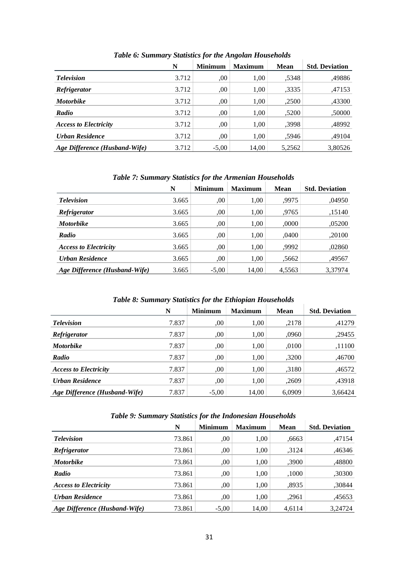|                               | N     | <b>Minimum</b> | <b>Maximum</b> | <b>Mean</b> | <b>Std. Deviation</b> |
|-------------------------------|-------|----------------|----------------|-------------|-----------------------|
| <b>Television</b>             | 3.712 | .00            | 1,00           | .5348       | .49886                |
| <i>Refrigerator</i>           | 3.712 | .00            | 1,00           | ,3335       | ,47153                |
| <b>Motorbike</b>              | 3.712 | ,00            | 1,00           | ,2500       | ,43300                |
| Radio                         | 3.712 | ,00            | 1,00           | .5200       | ,50000                |
| <b>Access to Electricity</b>  | 3.712 | .00            | 1,00           | .3998       | ,48992                |
| <b>Urban Residence</b>        | 3.712 | .00            | 1,00           | .5946       | .49104                |
| Age Difference (Husband-Wife) | 3.712 | $-5,00$        | 14,00          | 5,2562      | 3,80526               |

*Table 6: Summary Statistics for the Angolan Households*

*Table 7: Summary Statistics for the Armenian Households*

|                               | N     | <b>Minimum</b> | <b>Maximum</b> | <b>Mean</b> | <b>Std. Deviation</b> |
|-------------------------------|-------|----------------|----------------|-------------|-----------------------|
| <b>Television</b>             | 3.665 | .00.           | 1,00           | .9975       | .04950                |
| <i>Refrigerator</i>           | 3.665 | .00            | 1,00           | .9765       | ,15140                |
| <b>Motorbike</b>              | 3.665 | .00.           | 1,00           | ,0000       | ,05200                |
| Radio                         | 3.665 | .00.           | 1,00           | ,0400       | ,20100                |
| <b>Access to Electricity</b>  | 3.665 | ,00            | 1,00           | .9992       | ,02860                |
| Urban Residence               | 3.665 | .00            | 1,00           | .5662       | ,49567                |
| Age Difference (Husband-Wife) | 3.665 | $-5,00$        | 14,00          | 4,5563      | 3,37974               |

# *Table 8: Summary Statistics for the Ethiopian Households*

|                               | N     | <b>Minimum</b> | <b>Maximum</b> | <b>Mean</b> | <b>Std. Deviation</b> |
|-------------------------------|-------|----------------|----------------|-------------|-----------------------|
| <b>Television</b>             | 7.837 | .00.           | 1.00           | .2178       | .41279                |
| <i>Refrigerator</i>           | 7.837 | .00.           | 1,00           | .0960       | .29455                |
| <b>Motorbike</b>              | 7.837 | .00.           | 1,00           | .0100       | ,11100                |
| Radio                         | 7.837 | .00            | 1.00           | ,3200       | .46700                |
| <b>Access to Electricity</b>  | 7.837 | ,00            | 1,00           | .3180       | ,46572                |
| <b>Urban Residence</b>        | 7.837 | .00            | 1,00           | ,2609       | .43918                |
| Age Difference (Husband-Wife) | 7.837 | $-5,00$        | 14,00          | 6.0909      | 3.66424               |

#### *Table 9: Summary Statistics for the Indonesian Households*

|                               | N      | <b>Minimum</b> | <b>Maximum</b> | <b>Mean</b> | <b>Std. Deviation</b> |
|-------------------------------|--------|----------------|----------------|-------------|-----------------------|
| <b>Television</b>             | 73.861 | .00            | 1,00           | .6663       | .47154                |
| <i>Refrigerator</i>           | 73.861 | .00            | 1,00           | 3124.       | .46346                |
| <b>Motorbike</b>              | 73.861 | .00            | 1,00           | ,3900       | ,48800                |
| Radio                         | 73.861 | .00            | 1,00           | ,1000       | ,30300                |
| <b>Access to Electricity</b>  | 73.861 | .00            | 1,00           | .8935       | ,30844                |
| Urban Residence               | 73.861 | .00            | 1.00           | ,2961       | ,45653                |
| Age Difference (Husband-Wife) | 73.861 | $-5,00$        | 14,00          | 4,6114      | 3.24724               |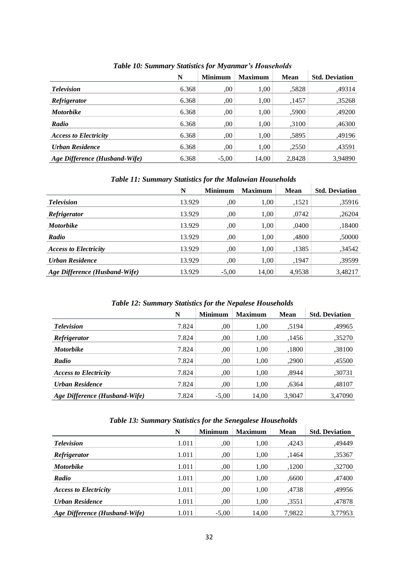|                               | N     | <b>Minimum</b> | <b>Maximum</b> | <b>Mean</b> | <b>Std. Deviation</b> |
|-------------------------------|-------|----------------|----------------|-------------|-----------------------|
| <b>Television</b>             | 6.368 | 00.            | 1,00           | ,5828       | ,49314                |
| <i>Refrigerator</i>           | 6.368 | 00             | 1,00           | ,1457       | ,35268                |
| <b>Motorbike</b>              | 6.368 | ,00            | 1,00           | .5900       | ,49200                |
| Radio                         | 6.368 | 00             | 1,00           | ,3100       | ,46300                |
| <b>Access to Electricity</b>  | 6.368 | 00             | 1,00           | ,5895       | ,49196                |
| <b>Urban Residence</b>        | 6.368 | 00             | 1,00           | ,2550       | ,43591                |
| Age Difference (Husband-Wife) | 6.368 | $-5,00$        | 14,00          | 2,8428      | 3,94890               |

*Table 10: Summary Statistics for Myanmar's Households*

*Table 11: Summary Statistics for the Malawian Households*

J.

|                               | N      | <b>Minimum</b> | <b>Maximum</b> | <b>Mean</b> | <b>Std. Deviation</b> |
|-------------------------------|--------|----------------|----------------|-------------|-----------------------|
| <b>Television</b>             | 13.929 | .00            | 1,00           | ,1521       | ,35916                |
| Refrigerator                  | 13.929 | .00            | 1,00           | ,0742       | ,26204                |
| <b>Motorbike</b>              | 13.929 | .00            | 1,00           | .0400       | ,18400                |
| Radio                         | 13.929 | .00            | 1,00           | ,4800       | ,50000                |
| <b>Access to Electricity</b>  | 13.929 | .00            | 1,00           | ,1385       | ,34542                |
| Urban Residence               | 13.929 | .00            | 1,00           | ,1947       | ,39599                |
| Age Difference (Husband-Wife) | 13.929 | $-5,00$        | 14,00          | 4,9538      | 3,48217               |

#### *Table 12: Summary Statistics for the Nepalese Households*

|                               | N     | <b>Minimum</b> | <b>Maximum</b> | Mean   | <b>Std. Deviation</b> |
|-------------------------------|-------|----------------|----------------|--------|-----------------------|
| <b>Television</b>             | 7.824 | .00            | 1,00           | .5194  | ,49965                |
| <i>Refrigerator</i>           | 7.824 | .00            | 1.00           | .1456  | ,35270                |
| <b>Motorbike</b>              | 7.824 | .00            | 1,00           | ,1800  | .38100                |
| Radio                         | 7.824 | .00            | 1,00           | ,2900  | ,45500                |
| <b>Access to Electricity</b>  | 7.824 | .00            | 1,00           | .8944  | .30731                |
| <b>Urban Residence</b>        | 7.824 | .00            | 1.00           | .6364  | .48107                |
| Age Difference (Husband-Wife) | 7.824 | $-5,00$        | 14,00          | 3,9047 | 3,47090               |

## *Table 13: Summary Statistics for the Senegalese Households*

|                               | N     | <b>Minimum</b> | <b>Maximum</b> | <b>Mean</b> | <b>Std. Deviation</b> |
|-------------------------------|-------|----------------|----------------|-------------|-----------------------|
| <b>Television</b>             | 1.011 | ,00            | 1,00           | ,4243       | .49449                |
| Refrigerator                  | 1.011 | .00.           | 1,00           | ,1464       | .35367                |
| <b>Motorbike</b>              | 1.011 | ,00            | 1,00           | ,1200       | .32700                |
| Radio                         | 1.011 | .00            | 1,00           | .6600       | ,47400                |
| <b>Access to Electricity</b>  | 1.011 | ,00            | 1,00           | .4738       | .49956                |
| Urban Residence               | 1.011 | ,00            | 1,00           | .3551       | .47878                |
| Age Difference (Husband-Wife) | 1.011 | $-5,00$        | 14,00          | 7.9822      | 3,77953               |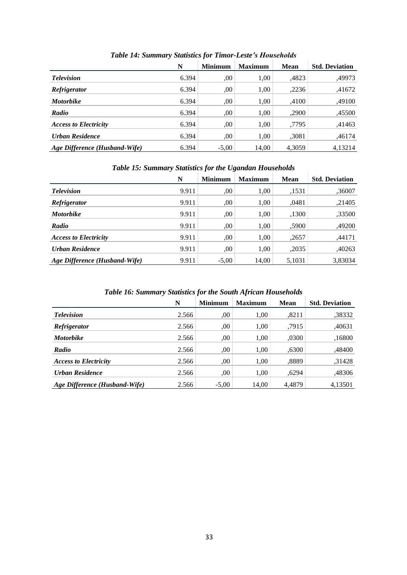|                               | N     | <b>Minimum</b> | <b>Maximum</b> | <b>Mean</b> | <b>Std. Deviation</b> |
|-------------------------------|-------|----------------|----------------|-------------|-----------------------|
| <b>Television</b>             | 6.394 | .00.           | 1,00           | ,4823       | ,49973                |
| <i>Refrigerator</i>           | 6.394 | 00             | 1,00           | ,2236       | ,41672                |
| <b>Motorbike</b>              | 6.394 | 00             | 1,00           | ,4100       | ,49100                |
| Radio                         | 6.394 | 00             | 1,00           | ,2900       | ,45500                |
| <b>Access to Electricity</b>  | 6.394 | .00.           | 1,00           | .7795       | .41463                |
| Urban Residence               | 6.394 | .00.           | 1,00           | ,3081       | .46174                |
| Age Difference (Husband-Wife) | 6.394 | $-5,00$        | 14,00          | 4,3059      | 4,13214               |

*Table 14: Summary Statistics for Timor-Leste's Households*

# *Table 15: Summary Statistics for the Ugandan Households*

|                               | N     | <b>Minimum</b> | <b>Maximum</b> | <b>Mean</b> | <b>Std. Deviation</b> |
|-------------------------------|-------|----------------|----------------|-------------|-----------------------|
| <b>Television</b>             | 9.911 | .00.           | 1,00           | ,1531       | ,36007                |
| <b>Refrigerator</b>           | 9.911 | .00.           | 1,00           | .0481       | ,21405                |
| <b>Motorbike</b>              | 9.911 | 00             | 1,00           | ,1300       | ,33500                |
| Radio                         | 9.911 | .00.           | 1,00           | .5900       | ,49200                |
| <b>Access to Electricity</b>  | 9.911 | .00            | 1,00           | ,2657       | ,44171                |
| <b>Urban Residence</b>        | 9.911 | .00            | 1,00           | ,2035       | ,40263                |
| Age Difference (Husband-Wife) | 9.911 | $-5,00$        | 14,00          | 5,1031      | 3,83034               |

#### *Table 16: Summary Statistics for the South African Households*

|                               | N     | <b>Minimum</b> | <b>Maximum</b> | <b>Mean</b> | <b>Std. Deviation</b> |
|-------------------------------|-------|----------------|----------------|-------------|-----------------------|
| <b>Television</b>             | 2.566 | .00            | 1,00           | .8211       | ,38332                |
| Refrigerator                  | 2.566 | .00            | 1,00           | .7915       | ,40631                |
| <b>Motorbike</b>              | 2.566 | .00            | 1,00           | ,0300       | ,16800                |
| Radio                         | 2.566 | .00            | 1,00           | .6300       | ,48400                |
| <b>Access to Electricity</b>  | 2.566 | .00            | 1,00           | ,8889       | .31428                |
| Urban Residence               | 2.566 | .00            | 1,00           | .6294       | ,48306                |
| Age Difference (Husband-Wife) | 2.566 | $-5,00$        | 14.00          | 4.4879      | 4.13501               |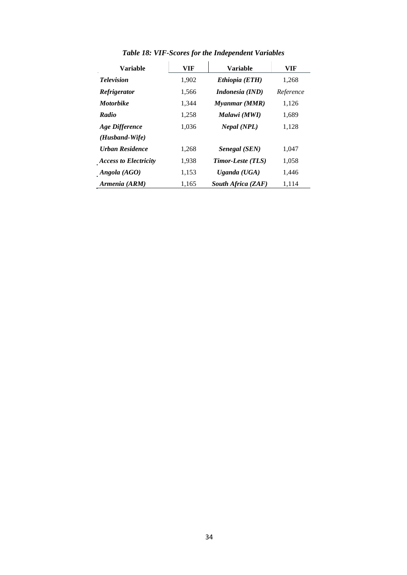| <b>Variable</b>              | VIF   | <b>Variable</b>        | VIF       |
|------------------------------|-------|------------------------|-----------|
| <b>Television</b>            | 1,902 | Ethiopia (ETH)         | 1,268     |
| Refrigerator                 | 1,566 | <i>Indonesia (IND)</i> | Reference |
| <b>Motorbike</b>             | 1,344 | Myanmar (MMR)          | 1,126     |
| Radio                        | 1,258 | Malawi (MWI)           | 1,689     |
| <b>Age Difference</b>        | 1,036 | Nepal (NPL)            | 1,128     |
| $(Husband-Wife)$             |       |                        |           |
| <b>Urban Residence</b>       | 1,268 | Senegal (SEN)          | 1,047     |
| <b>Access to Electricity</b> | 1,938 | Timor-Leste (TLS)      | 1,058     |
| Angola (AGO)                 | 1,153 | Uganda $(UGA)$         | 1,446     |
| Armenia (ARM)                | 1,165 | South Africa (ZAF)     | 1,114     |

*Table 18: VIF-Scores for the Independent Variables*